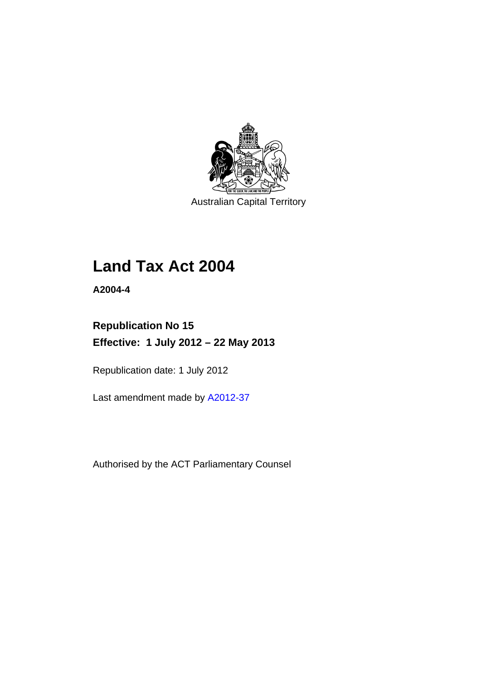

Australian Capital Territory

# **Land Tax Act 2004**

**A2004-4** 

# **Republication No 15 Effective: 1 July 2012 – 22 May 2013**

Republication date: 1 July 2012

Last amendment made by [A2012-37](http://www.legislation.act.gov.au/a/2012-37)

Authorised by the ACT Parliamentary Counsel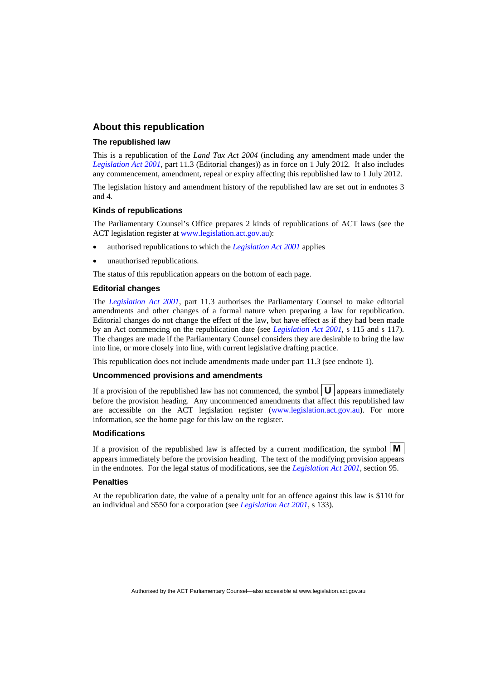### **About this republication**

#### **The republished law**

This is a republication of the *Land Tax Act 2004* (including any amendment made under the *[Legislation Act 2001](http://www.legislation.act.gov.au/a/2001-14)*, part 11.3 (Editorial changes)) as in force on 1 July 2012*.* It also includes any commencement, amendment, repeal or expiry affecting this republished law to 1 July 2012.

The legislation history and amendment history of the republished law are set out in endnotes 3 and 4.

#### **Kinds of republications**

The Parliamentary Counsel's Office prepares 2 kinds of republications of ACT laws (see the ACT legislation register at [www.legislation.act.gov.au](http://www.legislation.act.gov.au/)):

- authorised republications to which the *[Legislation Act 2001](http://www.legislation.act.gov.au/a/2001-14)* applies
- unauthorised republications.

The status of this republication appears on the bottom of each page.

#### **Editorial changes**

The *[Legislation Act 2001](http://www.legislation.act.gov.au/a/2001-14)*, part 11.3 authorises the Parliamentary Counsel to make editorial amendments and other changes of a formal nature when preparing a law for republication. Editorial changes do not change the effect of the law, but have effect as if they had been made by an Act commencing on the republication date (see *[Legislation Act 2001](http://www.legislation.act.gov.au/a/2001-14)*, s 115 and s 117). The changes are made if the Parliamentary Counsel considers they are desirable to bring the law into line, or more closely into line, with current legislative drafting practice.

This republication does not include amendments made under part 11.3 (see endnote 1).

#### **Uncommenced provisions and amendments**

If a provision of the republished law has not commenced, the symbol  $\mathbf{U}$  appears immediately before the provision heading. Any uncommenced amendments that affect this republished law are accessible on the ACT legislation register [\(www.legislation.act.gov.au\)](http://www.legislation.act.gov.au/). For more information, see the home page for this law on the register.

#### **Modifications**

If a provision of the republished law is affected by a current modification, the symbol  $\mathbf{M}$ appears immediately before the provision heading. The text of the modifying provision appears in the endnotes. For the legal status of modifications, see the *[Legislation Act 2001](http://www.legislation.act.gov.au/a/2001-14)*, section 95.

#### **Penalties**

At the republication date, the value of a penalty unit for an offence against this law is \$110 for an individual and \$550 for a corporation (see *[Legislation Act 2001](http://www.legislation.act.gov.au/a/2001-14)*, s 133).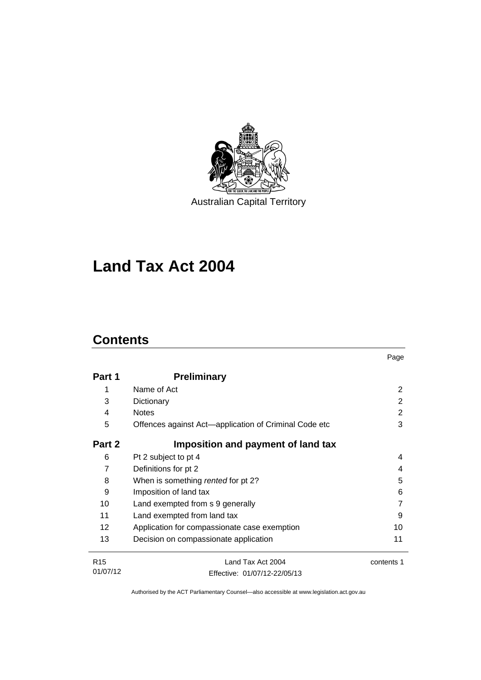

**Land Tax Act 2004** 

# **Contents**

|                             |                                                       | Page       |
|-----------------------------|-------------------------------------------------------|------------|
| Part 1                      | <b>Preliminary</b>                                    |            |
| 1                           | Name of Act                                           | 2          |
| 3                           | Dictionary                                            | 2          |
| 4                           | <b>Notes</b>                                          | 2          |
| 5                           | Offences against Act-application of Criminal Code etc | 3          |
| Part 2                      | Imposition and payment of land tax                    |            |
| 6                           | Pt 2 subject to pt 4                                  | 4          |
| 7                           | Definitions for pt 2                                  | 4          |
| 8                           | When is something rented for pt 2?                    | 5          |
| 9                           | Imposition of land tax                                | 6          |
| 10                          | Land exempted from s 9 generally                      | 7          |
| 11                          | Land exempted from land tax                           | 9          |
| 12                          | Application for compassionate case exemption          | 10         |
| 13                          | Decision on compassionate application                 | 11         |
| R <sub>15</sub><br>01/07/12 | Land Tax Act 2004                                     | contents 1 |
|                             | Effective: 01/07/12-22/05/13                          |            |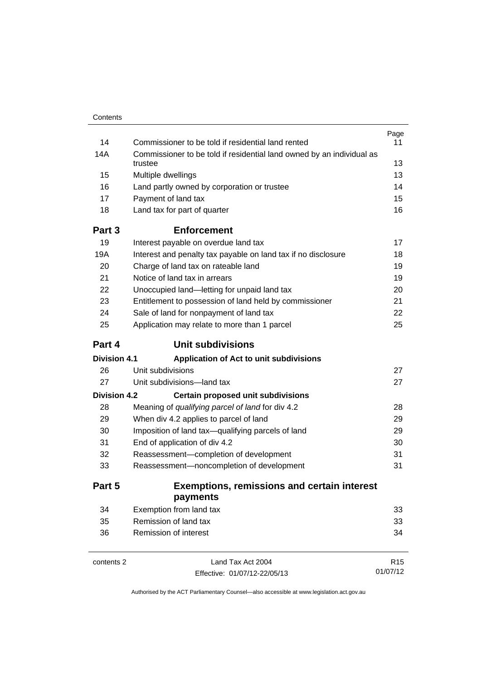| Contents            |                                                                                  |          |
|---------------------|----------------------------------------------------------------------------------|----------|
|                     |                                                                                  | Page     |
| 14                  | Commissioner to be told if residential land rented                               | 11       |
| 14A                 | Commissioner to be told if residential land owned by an individual as<br>trustee | 13       |
| 15                  | Multiple dwellings                                                               | 13       |
| 16                  | Land partly owned by corporation or trustee                                      | 14       |
| 17                  | Payment of land tax                                                              | 15       |
| 18                  | Land tax for part of quarter                                                     | 16       |
| Part 3              | <b>Enforcement</b>                                                               |          |
| 19                  | Interest payable on overdue land tax                                             | 17       |
| 19A                 | Interest and penalty tax payable on land tax if no disclosure                    | 18       |
| 20                  | Charge of land tax on rateable land                                              | 19       |
| 21                  | Notice of land tax in arrears                                                    | 19       |
| 22                  | Unoccupied land-letting for unpaid land tax                                      | 20       |
| 23                  | Entitlement to possession of land held by commissioner                           | 21       |
| 24                  | Sale of land for nonpayment of land tax                                          | 22       |
| 25                  | Application may relate to more than 1 parcel                                     | 25       |
| Part 4              | <b>Unit subdivisions</b>                                                         |          |
| <b>Division 4.1</b> | Application of Act to unit subdivisions                                          |          |
| 26                  | Unit subdivisions                                                                | 27       |
| 27                  | Unit subdivisions-land tax                                                       | 27       |
| <b>Division 4.2</b> | Certain proposed unit subdivisions                                               |          |
| 28                  | Meaning of qualifying parcel of land for div 4.2                                 | 28       |
| 29                  | When div 4.2 applies to parcel of land                                           | 29       |
| 30                  | Imposition of land tax-qualifying parcels of land                                | 29       |
| 31                  | End of application of div 4.2                                                    | 30       |
| 32                  | Reassessment-completion of development                                           | 31       |
| 33                  | Reassessment-noncompletion of development                                        | 31       |
| Part 5              | <b>Exemptions, remissions and certain interest</b><br>payments                   |          |
| 34                  | Exemption from land tax                                                          | 33       |
| 35                  | Remission of land tax                                                            | 33       |
| 36                  | <b>Remission of interest</b>                                                     | 34       |
| contents 2          | Land Tax Act 2004                                                                | R15      |
|                     | Effective: 01/07/12-22/05/13                                                     | 01/07/12 |

Effective: 01/07/12-22/05/13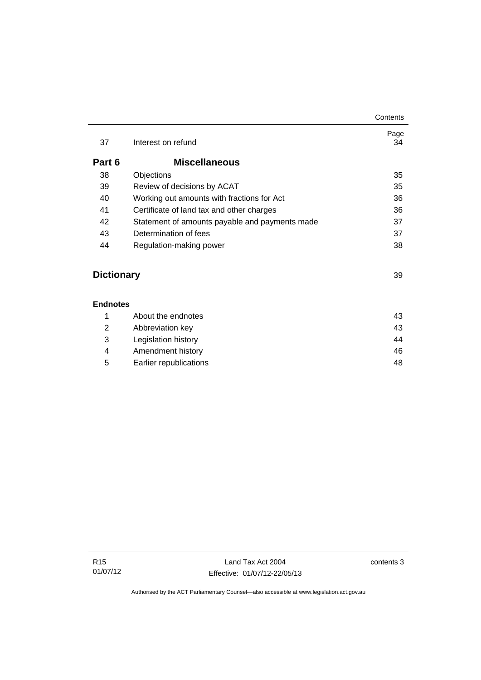| 37     | Interest on refund                             | Page<br>34 |
|--------|------------------------------------------------|------------|
| Part 6 | <b>Miscellaneous</b>                           |            |
| 38     | Objections                                     | 35         |
| 39     | Review of decisions by ACAT                    | 35         |
| 40     | Working out amounts with fractions for Act     | 36         |
| 41     | Certificate of land tax and other charges      | 36         |
| 42     | Statement of amounts payable and payments made | 37         |
| 43     | Determination of fees                          | 37         |
| 44     | Regulation-making power                        | 38         |
|        |                                                |            |

# **Dictionary** [39](#page-44-0)

#### **[Endnotes](#page-48-0)**

|   |   | About the endnotes     | 43 |
|---|---|------------------------|----|
|   | 2 | Abbreviation key       | 43 |
|   | 3 | Legislation history    | 44 |
| 4 |   | Amendment history      | 46 |
|   | 5 | Earlier republications | 48 |
|   |   |                        |    |

**Contents**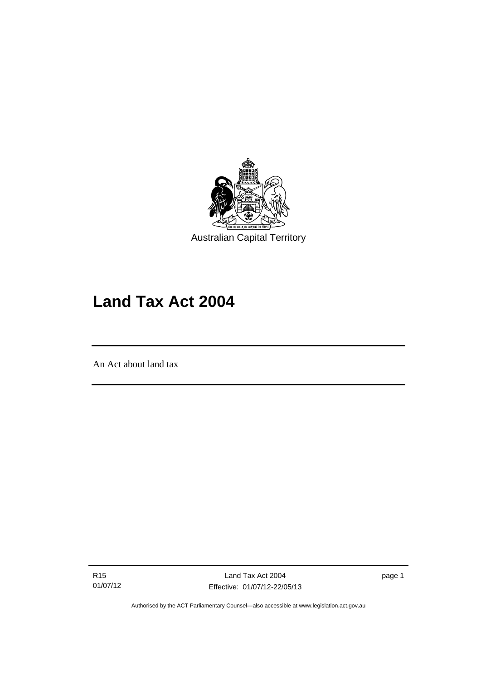

# **Land Tax Act 2004**

An Act about land tax

l

R15 01/07/12

Land Tax Act 2004 Effective: 01/07/12-22/05/13 page 1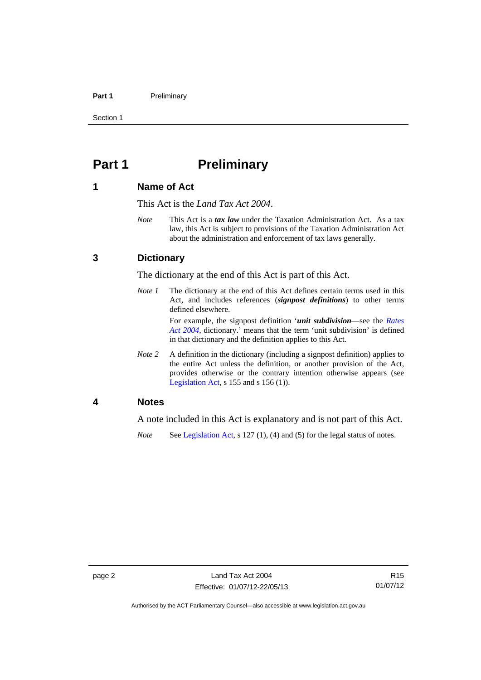#### Part 1 **Preliminary**

Section 1

# <span id="page-7-0"></span>**Part 1** Preliminary

### <span id="page-7-1"></span>**1 Name of Act**

This Act is the *Land Tax Act 2004*.

*Note* This Act is a *tax law* under the Taxation Administration Act. As a tax law, this Act is subject to provisions of the Taxation Administration Act about the administration and enforcement of tax laws generally.

### <span id="page-7-2"></span>**3 Dictionary**

The dictionary at the end of this Act is part of this Act.

*Note 1* The dictionary at the end of this Act defines certain terms used in this Act, and includes references (*signpost definitions*) to other terms defined elsewhere.

> For example, the signpost definition '*unit subdivision*—see the *[Rates](http://www.legislation.act.gov.au/a/2004-3)  [Act 2004](http://www.legislation.act.gov.au/a/2004-3)*, dictionary.' means that the term 'unit subdivision' is defined in that dictionary and the definition applies to this Act.

*Note* 2 A definition in the dictionary (including a signpost definition) applies to the entire Act unless the definition, or another provision of the Act, provides otherwise or the contrary intention otherwise appears (see [Legislation Act,](http://www.legislation.act.gov.au/a/2001-14)  $s$  155 and  $s$  156 (1)).

### <span id="page-7-3"></span>**4 Notes**

A note included in this Act is explanatory and is not part of this Act.

*Note* See [Legislation Act,](http://www.legislation.act.gov.au/a/2001-14) s 127 (1), (4) and (5) for the legal status of notes.

Authorised by the ACT Parliamentary Counsel—also accessible at www.legislation.act.gov.au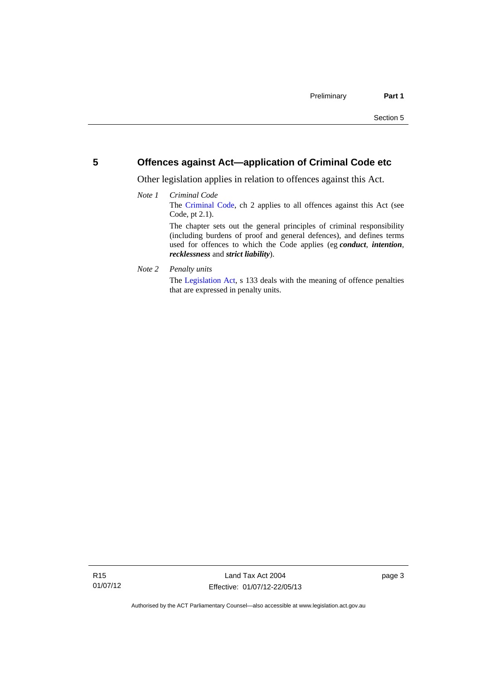### <span id="page-8-0"></span>**5 Offences against Act—application of Criminal Code etc**

Other legislation applies in relation to offences against this Act.

#### *Note 1 Criminal Code* The [Criminal Code](http://www.legislation.act.gov.au/a/2002-51), ch 2 applies to all offences against this Act (see Code, pt 2.1). The chapter sets out the general principles of criminal responsibility (including burdens of proof and general defences), and defines terms used for offences to which the Code applies (eg *conduct*, *intention*, *recklessness* and *strict liability*).

*Note 2 Penalty units* 

The [Legislation Act](http://www.legislation.act.gov.au/a/2001-14), s 133 deals with the meaning of offence penalties that are expressed in penalty units.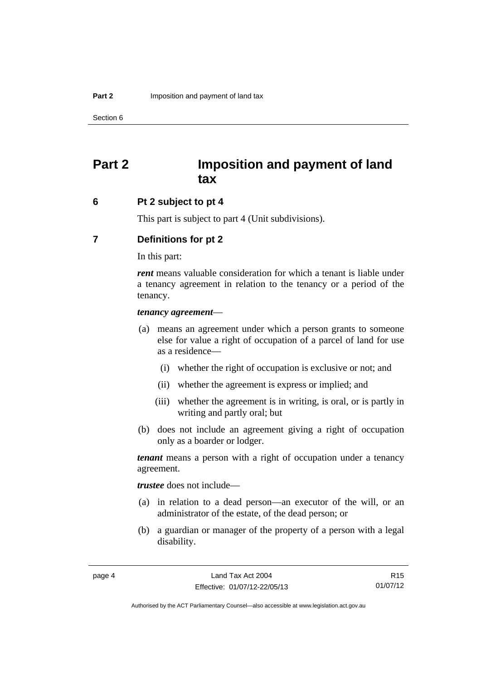# <span id="page-9-0"></span>**Part 2 Imposition and payment of land tax**

#### <span id="page-9-1"></span>**6 Pt 2 subject to pt 4**

This part is subject to part 4 (Unit subdivisions).

### <span id="page-9-2"></span>**7 Definitions for pt 2**

In this part:

*rent* means valuable consideration for which a tenant is liable under a tenancy agreement in relation to the tenancy or a period of the tenancy.

#### *tenancy agreement*—

- (a) means an agreement under which a person grants to someone else for value a right of occupation of a parcel of land for use as a residence—
	- (i) whether the right of occupation is exclusive or not; and
	- (ii) whether the agreement is express or implied; and
	- (iii) whether the agreement is in writing, is oral, or is partly in writing and partly oral; but
- (b) does not include an agreement giving a right of occupation only as a boarder or lodger.

*tenant* means a person with a right of occupation under a tenancy agreement.

*trustee* does not include—

- (a) in relation to a dead person—an executor of the will, or an administrator of the estate, of the dead person; or
- (b) a guardian or manager of the property of a person with a legal disability.

R15 01/07/12

Authorised by the ACT Parliamentary Counsel—also accessible at www.legislation.act.gov.au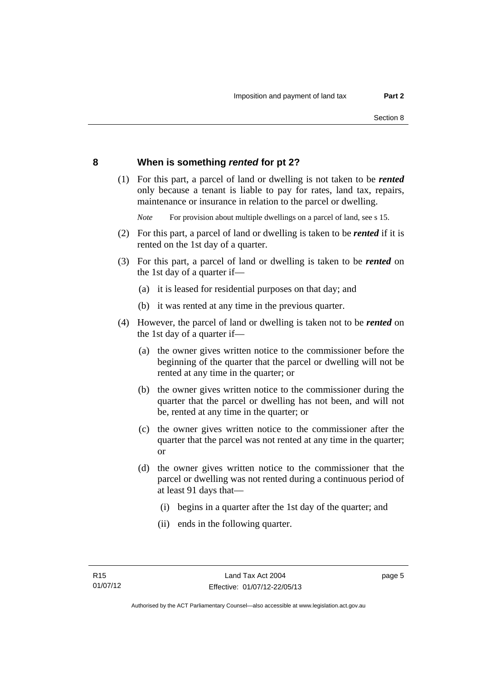### <span id="page-10-0"></span>**8 When is something** *rented* **for pt 2?**

 (1) For this part, a parcel of land or dwelling is not taken to be *rented* only because a tenant is liable to pay for rates, land tax, repairs, maintenance or insurance in relation to the parcel or dwelling.

*Note* For provision about multiple dwellings on a parcel of land, see s 15.

- (2) For this part, a parcel of land or dwelling is taken to be *rented* if it is rented on the 1st day of a quarter.
- (3) For this part, a parcel of land or dwelling is taken to be *rented* on the 1st day of a quarter if—
	- (a) it is leased for residential purposes on that day; and
	- (b) it was rented at any time in the previous quarter.
- (4) However, the parcel of land or dwelling is taken not to be *rented* on the 1st day of a quarter if—
	- (a) the owner gives written notice to the commissioner before the beginning of the quarter that the parcel or dwelling will not be rented at any time in the quarter; or
	- (b) the owner gives written notice to the commissioner during the quarter that the parcel or dwelling has not been, and will not be, rented at any time in the quarter; or
	- (c) the owner gives written notice to the commissioner after the quarter that the parcel was not rented at any time in the quarter; or
	- (d) the owner gives written notice to the commissioner that the parcel or dwelling was not rented during a continuous period of at least 91 days that—
		- (i) begins in a quarter after the 1st day of the quarter; and
		- (ii) ends in the following quarter.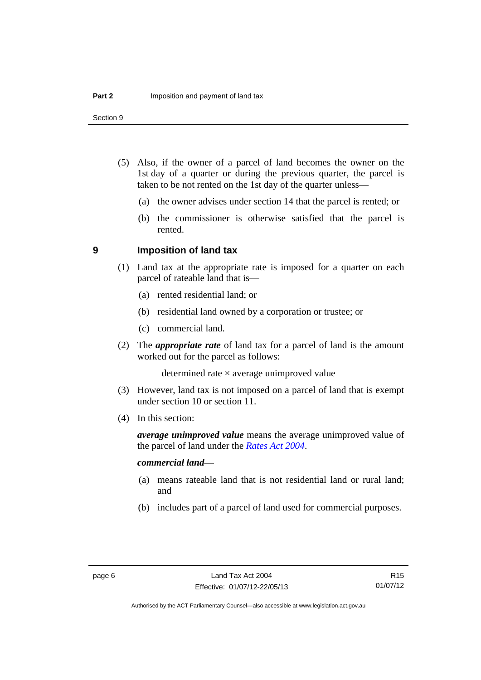Section 9

- (5) Also, if the owner of a parcel of land becomes the owner on the 1st day of a quarter or during the previous quarter, the parcel is taken to be not rented on the 1st day of the quarter unless—
	- (a) the owner advises under section 14 that the parcel is rented; or
	- (b) the commissioner is otherwise satisfied that the parcel is rented.

#### <span id="page-11-0"></span>**9 Imposition of land tax**

- (1) Land tax at the appropriate rate is imposed for a quarter on each parcel of rateable land that is—
	- (a) rented residential land; or
	- (b) residential land owned by a corporation or trustee; or
	- (c) commercial land.
- (2) The *appropriate rate* of land tax for a parcel of land is the amount worked out for the parcel as follows:

determined rate  $\times$  average unimproved value

- (3) However, land tax is not imposed on a parcel of land that is exempt under section 10 or section 11.
- (4) In this section:

*average unimproved value* means the average unimproved value of the parcel of land under the *[Rates Act 2004](http://www.legislation.act.gov.au/a/2004-3)*.

#### *commercial land*—

- (a) means rateable land that is not residential land or rural land; and
- (b) includes part of a parcel of land used for commercial purposes.

Authorised by the ACT Parliamentary Counsel—also accessible at www.legislation.act.gov.au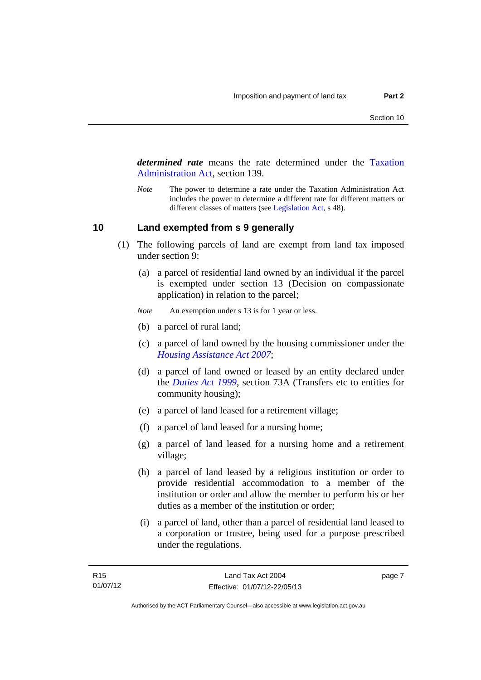*determined rate* means the rate determined under the [Taxation](http://www.legislation.act.gov.au/a/1999-4/default.asp)  [Administration Act](http://www.legislation.act.gov.au/a/1999-4/default.asp), section 139.

*Note* The power to determine a rate under the Taxation Administration Act includes the power to determine a different rate for different matters or different classes of matters (see [Legislation Act,](http://www.legislation.act.gov.au/a/2001-14) s 48).

#### <span id="page-12-0"></span>**10 Land exempted from s 9 generally**

- (1) The following parcels of land are exempt from land tax imposed under section 9:
	- (a) a parcel of residential land owned by an individual if the parcel is exempted under section 13 (Decision on compassionate application) in relation to the parcel;
	- *Note* An exemption under s 13 is for 1 year or less.
	- (b) a parcel of rural land;
	- (c) a parcel of land owned by the housing commissioner under the *[Housing Assistance Act 2007](http://www.legislation.act.gov.au/a/2007-8)*;
	- (d) a parcel of land owned or leased by an entity declared under the *[Duties Act 1999](http://www.legislation.act.gov.au/a/1999-7)*, section 73A (Transfers etc to entities for community housing);
	- (e) a parcel of land leased for a retirement village;
	- (f) a parcel of land leased for a nursing home;
	- (g) a parcel of land leased for a nursing home and a retirement village;
	- (h) a parcel of land leased by a religious institution or order to provide residential accommodation to a member of the institution or order and allow the member to perform his or her duties as a member of the institution or order;
	- (i) a parcel of land, other than a parcel of residential land leased to a corporation or trustee, being used for a purpose prescribed under the regulations.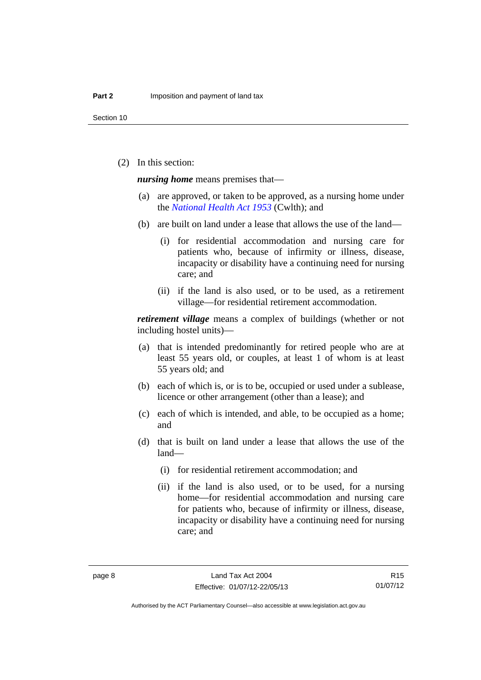(2) In this section:

*nursing home* means premises that—

- (a) are approved, or taken to be approved, as a nursing home under the *[National Health Act 1953](http://www.comlaw.gov.au/Details/C2013C00083)* (Cwlth); and
- (b) are built on land under a lease that allows the use of the land—
	- (i) for residential accommodation and nursing care for patients who, because of infirmity or illness, disease, incapacity or disability have a continuing need for nursing care; and
	- (ii) if the land is also used, or to be used, as a retirement village—for residential retirement accommodation.

*retirement village* means a complex of buildings (whether or not including hostel units)—

- (a) that is intended predominantly for retired people who are at least 55 years old, or couples, at least 1 of whom is at least 55 years old; and
- (b) each of which is, or is to be, occupied or used under a sublease, licence or other arrangement (other than a lease); and
- (c) each of which is intended, and able, to be occupied as a home; and
- (d) that is built on land under a lease that allows the use of the land—
	- (i) for residential retirement accommodation; and
	- (ii) if the land is also used, or to be used, for a nursing home—for residential accommodation and nursing care for patients who, because of infirmity or illness, disease, incapacity or disability have a continuing need for nursing care; and

Authorised by the ACT Parliamentary Counsel—also accessible at www.legislation.act.gov.au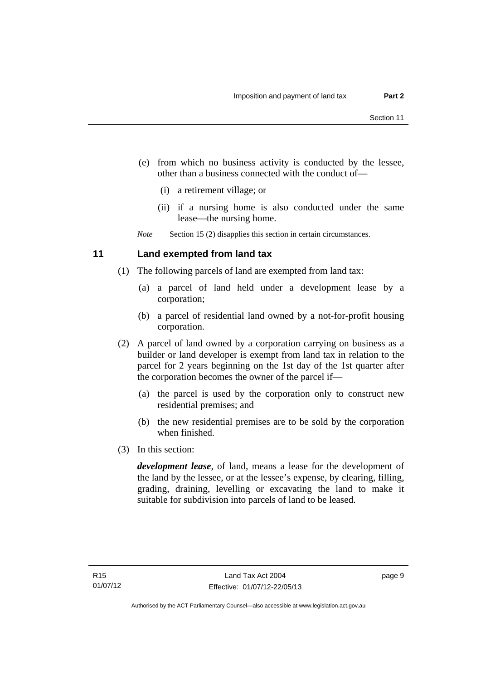- (e) from which no business activity is conducted by the lessee, other than a business connected with the conduct of—
	- (i) a retirement village; or
	- (ii) if a nursing home is also conducted under the same lease—the nursing home.

*Note* Section 15 (2) disapplies this section in certain circumstances.

### <span id="page-14-0"></span>**11 Land exempted from land tax**

- (1) The following parcels of land are exempted from land tax:
	- (a) a parcel of land held under a development lease by a corporation;
	- (b) a parcel of residential land owned by a not-for-profit housing corporation.
- (2) A parcel of land owned by a corporation carrying on business as a builder or land developer is exempt from land tax in relation to the parcel for 2 years beginning on the 1st day of the 1st quarter after the corporation becomes the owner of the parcel if—
	- (a) the parcel is used by the corporation only to construct new residential premises; and
	- (b) the new residential premises are to be sold by the corporation when finished.
- (3) In this section:

*development lease*, of land, means a lease for the development of the land by the lessee, or at the lessee's expense, by clearing, filling, grading, draining, levelling or excavating the land to make it suitable for subdivision into parcels of land to be leased.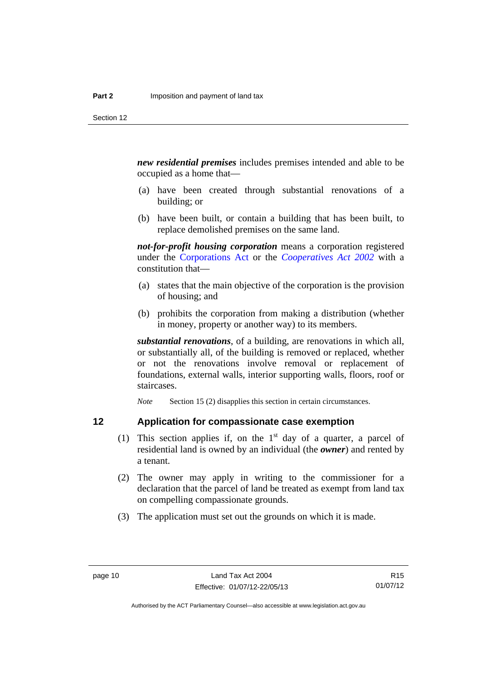*new residential premises* includes premises intended and able to be occupied as a home that—

- (a) have been created through substantial renovations of a building; or
- (b) have been built, or contain a building that has been built, to replace demolished premises on the same land.

*not-for-profit housing corporation* means a corporation registered under the [Corporations Act](http://www.comlaw.gov.au/Series/C2004A00818) or the *[Cooperatives Act 2002](http://www.legislation.act.gov.au/a/2002-45)* with a constitution that—

- (a) states that the main objective of the corporation is the provision of housing; and
- (b) prohibits the corporation from making a distribution (whether in money, property or another way) to its members.

*substantial renovations*, of a building, are renovations in which all, or substantially all, of the building is removed or replaced, whether or not the renovations involve removal or replacement of foundations, external walls, interior supporting walls, floors, roof or staircases.

*Note* Section 15 (2) disapplies this section in certain circumstances.

### <span id="page-15-0"></span>**12 Application for compassionate case exemption**

- (1) This section applies if, on the  $1<sup>st</sup>$  day of a quarter, a parcel of residential land is owned by an individual (the *owner*) and rented by a tenant.
- (2) The owner may apply in writing to the commissioner for a declaration that the parcel of land be treated as exempt from land tax on compelling compassionate grounds.
- (3) The application must set out the grounds on which it is made.

Authorised by the ACT Parliamentary Counsel—also accessible at www.legislation.act.gov.au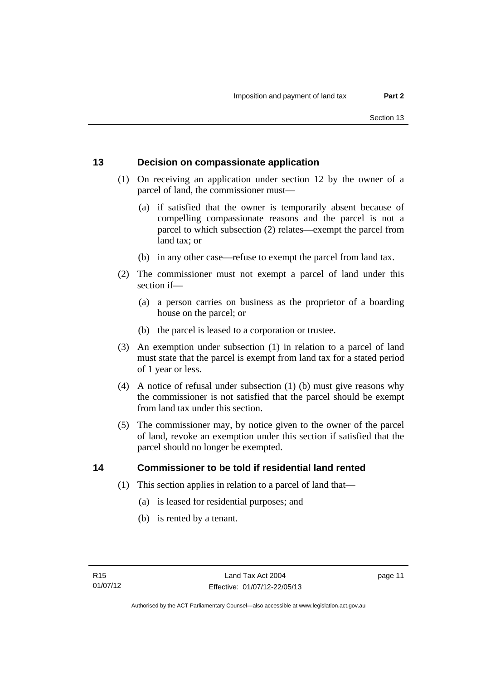### <span id="page-16-0"></span>**13 Decision on compassionate application**

- (1) On receiving an application under section 12 by the owner of a parcel of land, the commissioner must—
	- (a) if satisfied that the owner is temporarily absent because of compelling compassionate reasons and the parcel is not a parcel to which subsection (2) relates—exempt the parcel from land tax; or
	- (b) in any other case—refuse to exempt the parcel from land tax.
- (2) The commissioner must not exempt a parcel of land under this section if—
	- (a) a person carries on business as the proprietor of a boarding house on the parcel; or
	- (b) the parcel is leased to a corporation or trustee.
- (3) An exemption under subsection (1) in relation to a parcel of land must state that the parcel is exempt from land tax for a stated period of 1 year or less.
- (4) A notice of refusal under subsection (1) (b) must give reasons why the commissioner is not satisfied that the parcel should be exempt from land tax under this section.
- (5) The commissioner may, by notice given to the owner of the parcel of land, revoke an exemption under this section if satisfied that the parcel should no longer be exempted.

### <span id="page-16-1"></span>**14 Commissioner to be told if residential land rented**

- (1) This section applies in relation to a parcel of land that—
	- (a) is leased for residential purposes; and
	- (b) is rented by a tenant.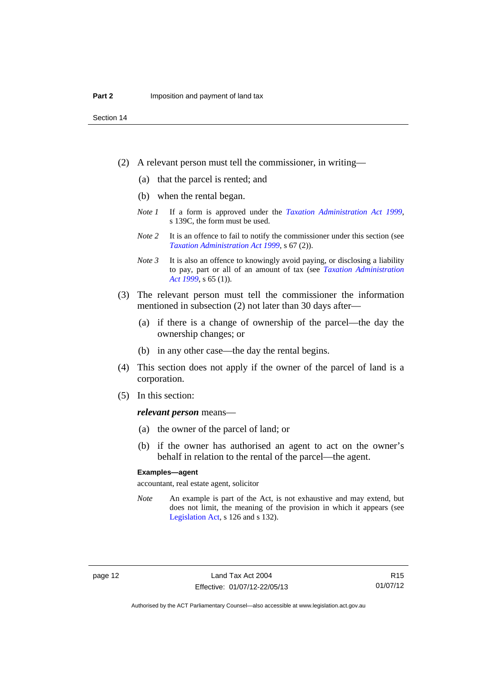- (2) A relevant person must tell the commissioner, in writing—
	- (a) that the parcel is rented; and
	- (b) when the rental began.
	- *Note 1* If a form is approved under the *[Taxation Administration Act 1999](http://www.legislation.act.gov.au/a/1999-4)*, s 139C, the form must be used.
	- *Note* 2 It is an offence to fail to notify the commissioner under this section (see *[Taxation Administration Act 1999](http://www.legislation.act.gov.au/a/1999-4)*, s 67 (2)).
	- *Note 3* It is also an offence to knowingly avoid paying, or disclosing a liability to pay, part or all of an amount of tax (see *[Taxation Administration](http://www.legislation.act.gov.au/a/1999-4)  [Act 1999](http://www.legislation.act.gov.au/a/1999-4)*, s 65 (1)).
- (3) The relevant person must tell the commissioner the information mentioned in subsection (2) not later than 30 days after—
	- (a) if there is a change of ownership of the parcel—the day the ownership changes; or
	- (b) in any other case—the day the rental begins.
- (4) This section does not apply if the owner of the parcel of land is a corporation.
- (5) In this section:

#### *relevant person* means—

- (a) the owner of the parcel of land; or
- (b) if the owner has authorised an agent to act on the owner's behalf in relation to the rental of the parcel—the agent.

#### **Examples—agent**

accountant, real estate agent, solicitor

*Note* An example is part of the Act, is not exhaustive and may extend, but does not limit, the meaning of the provision in which it appears (see [Legislation Act,](http://www.legislation.act.gov.au/a/2001-14) s 126 and s 132).

R15 01/07/12

Authorised by the ACT Parliamentary Counsel—also accessible at www.legislation.act.gov.au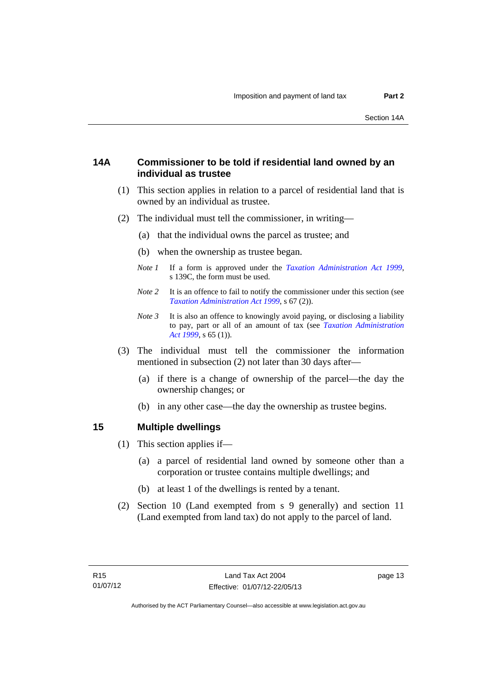### <span id="page-18-0"></span>**14A Commissioner to be told if residential land owned by an individual as trustee**

- (1) This section applies in relation to a parcel of residential land that is owned by an individual as trustee.
- (2) The individual must tell the commissioner, in writing—
	- (a) that the individual owns the parcel as trustee; and
	- (b) when the ownership as trustee began.
	- *Note 1* If a form is approved under the *[Taxation Administration Act 1999](http://www.legislation.act.gov.au/a/1999-4)*, s 139C, the form must be used.
	- *Note* 2 It is an offence to fail to notify the commissioner under this section (see *[Taxation Administration Act 1999](http://www.legislation.act.gov.au/a/1999-4)*, s 67 (2)).
	- *Note 3* It is also an offence to knowingly avoid paying, or disclosing a liability to pay, part or all of an amount of tax (see *[Taxation Administration](http://www.legislation.act.gov.au/a/1999-4)  [Act 1999](http://www.legislation.act.gov.au/a/1999-4)*, s 65 (1)).
- (3) The individual must tell the commissioner the information mentioned in subsection (2) not later than 30 days after—
	- (a) if there is a change of ownership of the parcel—the day the ownership changes; or
	- (b) in any other case—the day the ownership as trustee begins.

#### <span id="page-18-1"></span>**15 Multiple dwellings**

- (1) This section applies if—
	- (a) a parcel of residential land owned by someone other than a corporation or trustee contains multiple dwellings; and
	- (b) at least 1 of the dwellings is rented by a tenant.
- (2) Section 10 (Land exempted from s 9 generally) and section 11 (Land exempted from land tax) do not apply to the parcel of land.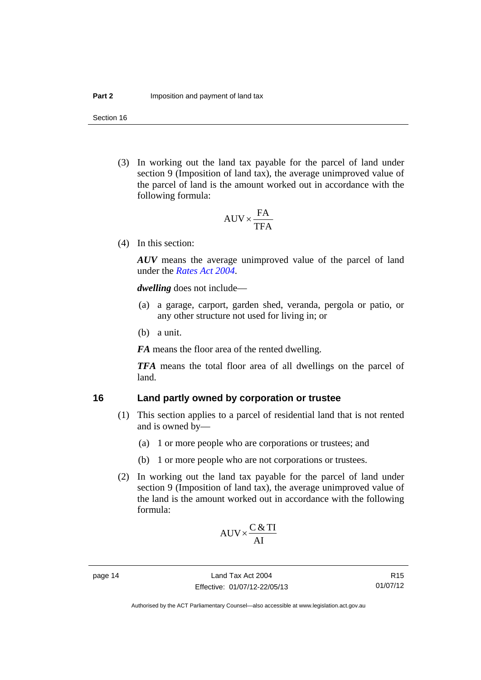(3) In working out the land tax payable for the parcel of land under section 9 (Imposition of land tax), the average unimproved value of the parcel of land is the amount worked out in accordance with the following formula:

$$
AUV \times \frac{FA}{TFA}
$$

(4) In this section:

*AUV* means the average unimproved value of the parcel of land under the *[Rates Act 2004](http://www.legislation.act.gov.au/a/2004-3)*.

*dwelling* does not include—

- (a) a garage, carport, garden shed, veranda, pergola or patio, or any other structure not used for living in; or
- (b) a unit.

*FA* means the floor area of the rented dwelling.

*TFA* means the total floor area of all dwellings on the parcel of land.

### <span id="page-19-0"></span>**16 Land partly owned by corporation or trustee**

- (1) This section applies to a parcel of residential land that is not rented and is owned by—
	- (a) 1 or more people who are corporations or trustees; and
	- (b) 1 or more people who are not corporations or trustees.
- (2) In working out the land tax payable for the parcel of land under section 9 (Imposition of land tax), the average unimproved value of the land is the amount worked out in accordance with the following formula:

$$
AUV \times \frac{C & TI}{AI}
$$

R15 01/07/12

Authorised by the ACT Parliamentary Counsel—also accessible at www.legislation.act.gov.au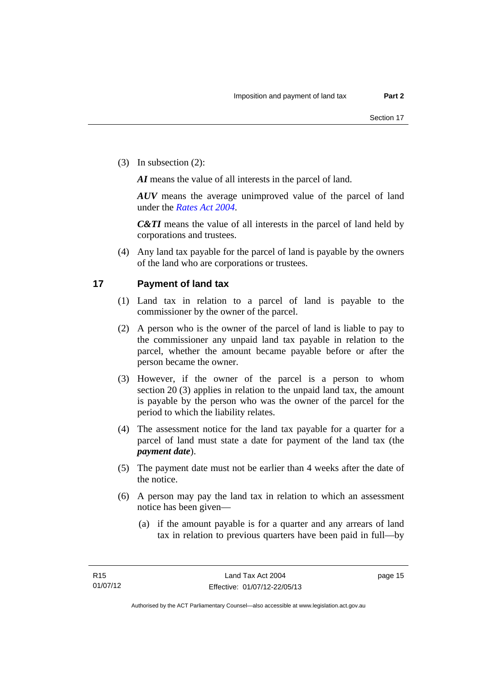(3) In subsection (2):

*AI* means the value of all interests in the parcel of land.

*AUV* means the average unimproved value of the parcel of land under the *[Rates Act 2004](http://www.legislation.act.gov.au/a/2004-3)*.

*C&TI* means the value of all interests in the parcel of land held by corporations and trustees.

 (4) Any land tax payable for the parcel of land is payable by the owners of the land who are corporations or trustees.

### <span id="page-20-0"></span>**17 Payment of land tax**

- (1) Land tax in relation to a parcel of land is payable to the commissioner by the owner of the parcel.
- (2) A person who is the owner of the parcel of land is liable to pay to the commissioner any unpaid land tax payable in relation to the parcel, whether the amount became payable before or after the person became the owner.
- (3) However, if the owner of the parcel is a person to whom section 20 (3) applies in relation to the unpaid land tax, the amount is payable by the person who was the owner of the parcel for the period to which the liability relates.
- (4) The assessment notice for the land tax payable for a quarter for a parcel of land must state a date for payment of the land tax (the *payment date*).
- (5) The payment date must not be earlier than 4 weeks after the date of the notice.
- (6) A person may pay the land tax in relation to which an assessment notice has been given—
	- (a) if the amount payable is for a quarter and any arrears of land tax in relation to previous quarters have been paid in full—by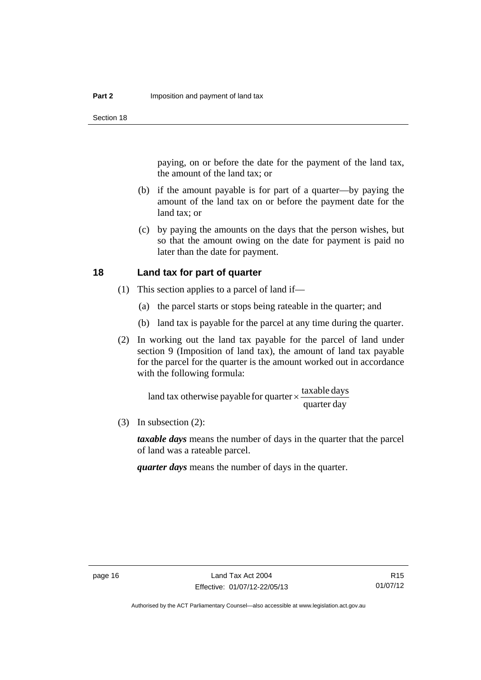paying, on or before the date for the payment of the land tax, the amount of the land tax; or

- (b) if the amount payable is for part of a quarter—by paying the amount of the land tax on or before the payment date for the land tax; or
- (c) by paying the amounts on the days that the person wishes, but so that the amount owing on the date for payment is paid no later than the date for payment.

### <span id="page-21-0"></span>**18 Land tax for part of quarter**

- (1) This section applies to a parcel of land if—
	- (a) the parcel starts or stops being rateable in the quarter; and
	- (b) land tax is payable for the parcel at any time during the quarter.
- (2) In working out the land tax payable for the parcel of land under section 9 (Imposition of land tax), the amount of land tax payable for the parcel for the quarter is the amount worked out in accordance with the following formula:

quarter day land tax otherwise payable for quarter  $\times$   $\frac{\text{taxable days}}{\text{.}}$ 

(3) In subsection (2):

*taxable days* means the number of days in the quarter that the parcel of land was a rateable parcel.

*quarter days* means the number of days in the quarter.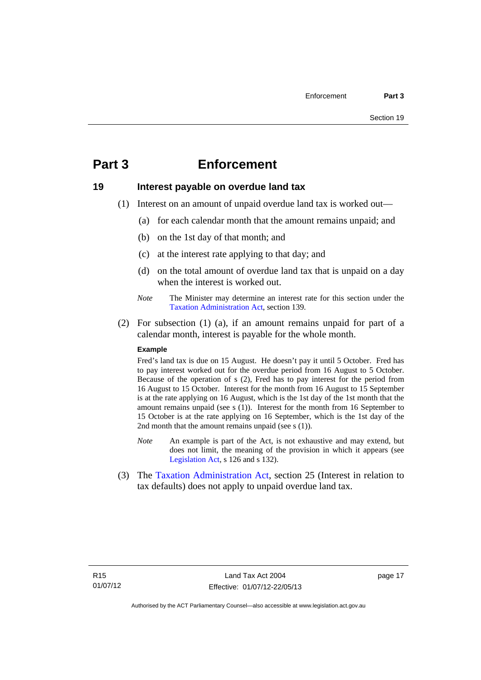# <span id="page-22-0"></span>**Part 3 Enforcement**

### <span id="page-22-1"></span>**19 Interest payable on overdue land tax**

- (1) Interest on an amount of unpaid overdue land tax is worked out—
	- (a) for each calendar month that the amount remains unpaid; and
	- (b) on the 1st day of that month; and
	- (c) at the interest rate applying to that day; and
	- (d) on the total amount of overdue land tax that is unpaid on a day when the interest is worked out.
	- *Note* The Minister may determine an interest rate for this section under the [Taxation Administration Act,](http://www.legislation.act.gov.au/a/1999-4/default.asp) section 139.
- (2) For subsection (1) (a), if an amount remains unpaid for part of a calendar month, interest is payable for the whole month.

#### **Example**

Fred's land tax is due on 15 August. He doesn't pay it until 5 October. Fred has to pay interest worked out for the overdue period from 16 August to 5 October. Because of the operation of s (2), Fred has to pay interest for the period from 16 August to 15 October. Interest for the month from 16 August to 15 September is at the rate applying on 16 August, which is the 1st day of the 1st month that the amount remains unpaid (see s (1)). Interest for the month from 16 September to 15 October is at the rate applying on 16 September, which is the 1st day of the 2nd month that the amount remains unpaid (see s (1)).

- *Note* An example is part of the Act, is not exhaustive and may extend, but does not limit, the meaning of the provision in which it appears (see [Legislation Act,](http://www.legislation.act.gov.au/a/2001-14) s 126 and s 132).
- (3) The [Taxation Administration Act,](http://www.legislation.act.gov.au/a/1999-4/default.asp) section 25 (Interest in relation to tax defaults) does not apply to unpaid overdue land tax.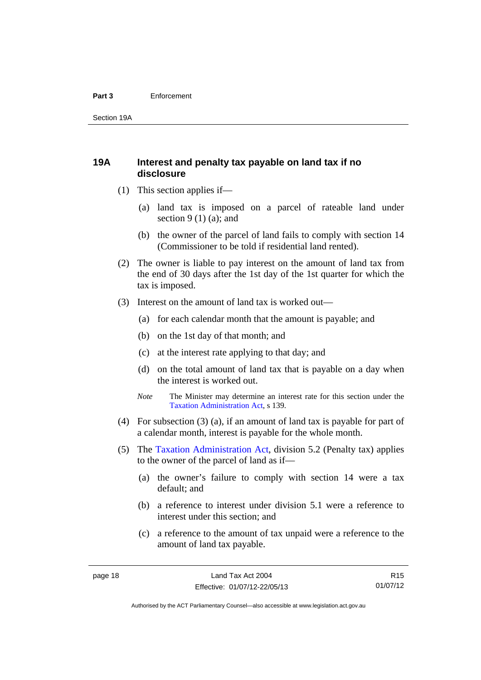#### **Part 3** Enforcement

Section 19A

### <span id="page-23-0"></span>**19A Interest and penalty tax payable on land tax if no disclosure**

- (1) This section applies if—
	- (a) land tax is imposed on a parcel of rateable land under section  $9(1)(a)$ ; and
	- (b) the owner of the parcel of land fails to comply with section 14 (Commissioner to be told if residential land rented).
- (2) The owner is liable to pay interest on the amount of land tax from the end of 30 days after the 1st day of the 1st quarter for which the tax is imposed.
- (3) Interest on the amount of land tax is worked out—
	- (a) for each calendar month that the amount is payable; and
	- (b) on the 1st day of that month; and
	- (c) at the interest rate applying to that day; and
	- (d) on the total amount of land tax that is payable on a day when the interest is worked out.
	- *Note* The Minister may determine an interest rate for this section under the [Taxation Administration Act,](http://www.legislation.act.gov.au/a/1999-4/default.asp) s 139.
- (4) For subsection (3) (a), if an amount of land tax is payable for part of a calendar month, interest is payable for the whole month.
- (5) The [Taxation Administration Act,](http://www.legislation.act.gov.au/a/1999-4/default.asp) division 5.2 (Penalty tax) applies to the owner of the parcel of land as if—
	- (a) the owner's failure to comply with section 14 were a tax default; and
	- (b) a reference to interest under division 5.1 were a reference to interest under this section; and
	- (c) a reference to the amount of tax unpaid were a reference to the amount of land tax payable.

R15 01/07/12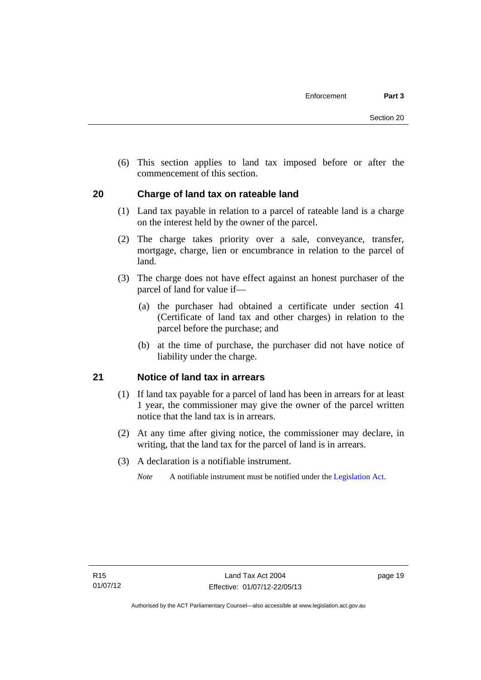(6) This section applies to land tax imposed before or after the commencement of this section.

### <span id="page-24-0"></span>**20 Charge of land tax on rateable land**

- (1) Land tax payable in relation to a parcel of rateable land is a charge on the interest held by the owner of the parcel.
- (2) The charge takes priority over a sale, conveyance, transfer, mortgage, charge, lien or encumbrance in relation to the parcel of land.
- (3) The charge does not have effect against an honest purchaser of the parcel of land for value if—
	- (a) the purchaser had obtained a certificate under section 41 (Certificate of land tax and other charges) in relation to the parcel before the purchase; and
	- (b) at the time of purchase, the purchaser did not have notice of liability under the charge.

### <span id="page-24-1"></span>**21 Notice of land tax in arrears**

- (1) If land tax payable for a parcel of land has been in arrears for at least 1 year, the commissioner may give the owner of the parcel written notice that the land tax is in arrears.
- (2) At any time after giving notice, the commissioner may declare, in writing, that the land tax for the parcel of land is in arrears.
- (3) A declaration is a notifiable instrument.
	- *Note* A notifiable instrument must be notified under the [Legislation Act](http://www.legislation.act.gov.au/a/2001-14).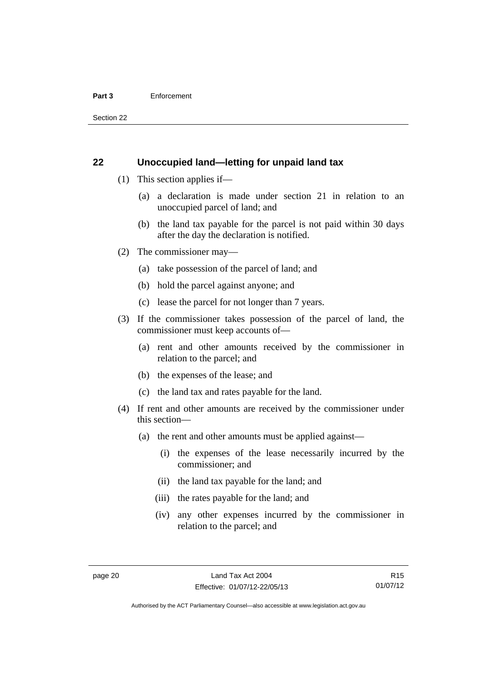#### **Part 3** Enforcement

Section 22

### <span id="page-25-0"></span>**22 Unoccupied land—letting for unpaid land tax**

- (1) This section applies if—
	- (a) a declaration is made under section 21 in relation to an unoccupied parcel of land; and
	- (b) the land tax payable for the parcel is not paid within 30 days after the day the declaration is notified.
- (2) The commissioner may—
	- (a) take possession of the parcel of land; and
	- (b) hold the parcel against anyone; and
	- (c) lease the parcel for not longer than 7 years.
- (3) If the commissioner takes possession of the parcel of land, the commissioner must keep accounts of—
	- (a) rent and other amounts received by the commissioner in relation to the parcel; and
	- (b) the expenses of the lease; and
	- (c) the land tax and rates payable for the land.
- (4) If rent and other amounts are received by the commissioner under this section—
	- (a) the rent and other amounts must be applied against—
		- (i) the expenses of the lease necessarily incurred by the commissioner; and
		- (ii) the land tax payable for the land; and
		- (iii) the rates payable for the land; and
		- (iv) any other expenses incurred by the commissioner in relation to the parcel; and

R15 01/07/12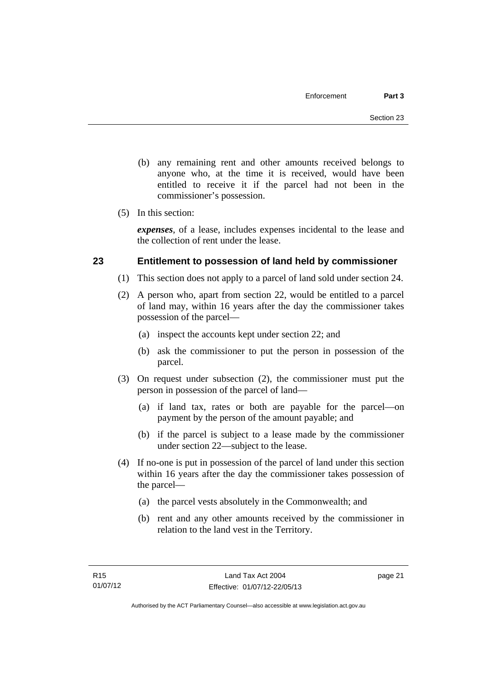- (b) any remaining rent and other amounts received belongs to anyone who, at the time it is received, would have been entitled to receive it if the parcel had not been in the commissioner's possession.
- (5) In this section:

*expenses*, of a lease, includes expenses incidental to the lease and the collection of rent under the lease.

### <span id="page-26-0"></span>**23 Entitlement to possession of land held by commissioner**

- (1) This section does not apply to a parcel of land sold under section 24.
- (2) A person who, apart from section 22, would be entitled to a parcel of land may, within 16 years after the day the commissioner takes possession of the parcel—
	- (a) inspect the accounts kept under section 22; and
	- (b) ask the commissioner to put the person in possession of the parcel.
- (3) On request under subsection (2), the commissioner must put the person in possession of the parcel of land—
	- (a) if land tax, rates or both are payable for the parcel—on payment by the person of the amount payable; and
	- (b) if the parcel is subject to a lease made by the commissioner under section 22—subject to the lease.
- (4) If no-one is put in possession of the parcel of land under this section within 16 years after the day the commissioner takes possession of the parcel—
	- (a) the parcel vests absolutely in the Commonwealth; and
	- (b) rent and any other amounts received by the commissioner in relation to the land vest in the Territory.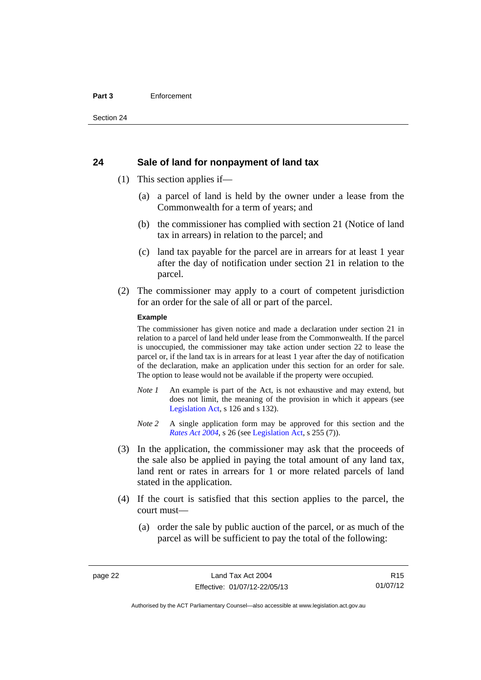#### **Part 3** Enforcement

#### <span id="page-27-0"></span>**24 Sale of land for nonpayment of land tax**

- (1) This section applies if—
	- (a) a parcel of land is held by the owner under a lease from the Commonwealth for a term of years; and
	- (b) the commissioner has complied with section 21 (Notice of land tax in arrears) in relation to the parcel; and
	- (c) land tax payable for the parcel are in arrears for at least 1 year after the day of notification under section 21 in relation to the parcel.
- (2) The commissioner may apply to a court of competent jurisdiction for an order for the sale of all or part of the parcel.

#### **Example**

The commissioner has given notice and made a declaration under section 21 in relation to a parcel of land held under lease from the Commonwealth. If the parcel is unoccupied, the commissioner may take action under section 22 to lease the parcel or, if the land tax is in arrears for at least 1 year after the day of notification of the declaration, make an application under this section for an order for sale. The option to lease would not be available if the property were occupied.

- *Note 1* An example is part of the Act, is not exhaustive and may extend, but does not limit, the meaning of the provision in which it appears (see [Legislation Act,](http://www.legislation.act.gov.au/a/2001-14) s 126 and s 132).
- *Note* 2 A single application form may be approved for this section and the *[Rates Act 2004](http://www.legislation.act.gov.au/a/2004-3)*, s 26 (see [Legislation Act,](http://www.legislation.act.gov.au/a/2001-14) s 255 (7)).
- (3) In the application, the commissioner may ask that the proceeds of the sale also be applied in paying the total amount of any land tax, land rent or rates in arrears for 1 or more related parcels of land stated in the application.
- (4) If the court is satisfied that this section applies to the parcel, the court must—
	- (a) order the sale by public auction of the parcel, or as much of the parcel as will be sufficient to pay the total of the following:

R15 01/07/12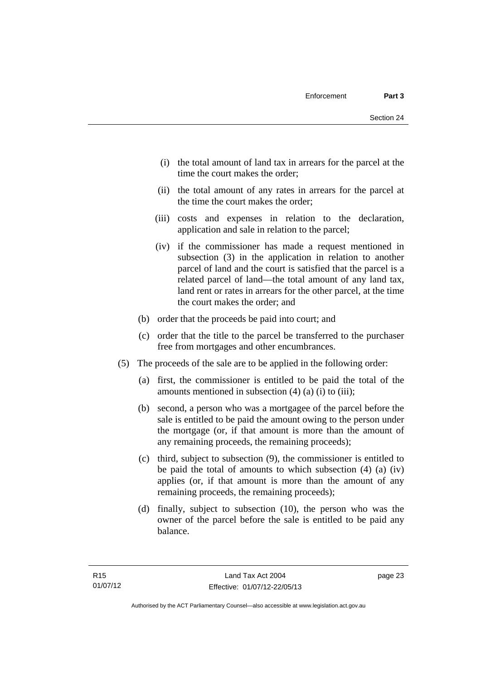- (i) the total amount of land tax in arrears for the parcel at the time the court makes the order;
- (ii) the total amount of any rates in arrears for the parcel at the time the court makes the order;
- (iii) costs and expenses in relation to the declaration, application and sale in relation to the parcel;
- (iv) if the commissioner has made a request mentioned in subsection (3) in the application in relation to another parcel of land and the court is satisfied that the parcel is a related parcel of land—the total amount of any land tax, land rent or rates in arrears for the other parcel, at the time the court makes the order; and
- (b) order that the proceeds be paid into court; and
- (c) order that the title to the parcel be transferred to the purchaser free from mortgages and other encumbrances.
- (5) The proceeds of the sale are to be applied in the following order:
	- (a) first, the commissioner is entitled to be paid the total of the amounts mentioned in subsection  $(4)$   $(a)$   $(i)$  to  $(iii)$ ;
	- (b) second, a person who was a mortgagee of the parcel before the sale is entitled to be paid the amount owing to the person under the mortgage (or, if that amount is more than the amount of any remaining proceeds, the remaining proceeds);
	- (c) third, subject to subsection (9), the commissioner is entitled to be paid the total of amounts to which subsection (4) (a) (iv) applies (or, if that amount is more than the amount of any remaining proceeds, the remaining proceeds);
	- (d) finally, subject to subsection (10), the person who was the owner of the parcel before the sale is entitled to be paid any balance.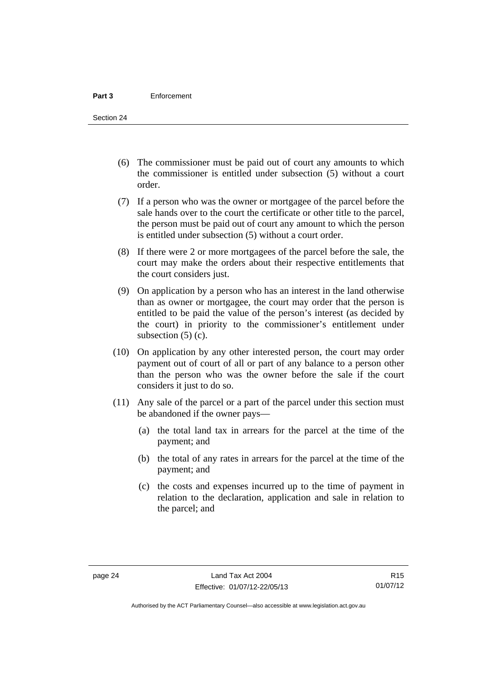- (6) The commissioner must be paid out of court any amounts to which the commissioner is entitled under subsection (5) without a court order.
- (7) If a person who was the owner or mortgagee of the parcel before the sale hands over to the court the certificate or other title to the parcel, the person must be paid out of court any amount to which the person is entitled under subsection (5) without a court order.
- (8) If there were 2 or more mortgagees of the parcel before the sale, the court may make the orders about their respective entitlements that the court considers just.
- (9) On application by a person who has an interest in the land otherwise than as owner or mortgagee, the court may order that the person is entitled to be paid the value of the person's interest (as decided by the court) in priority to the commissioner's entitlement under subsection  $(5)$  (c).
- (10) On application by any other interested person, the court may order payment out of court of all or part of any balance to a person other than the person who was the owner before the sale if the court considers it just to do so.
- (11) Any sale of the parcel or a part of the parcel under this section must be abandoned if the owner pays—
	- (a) the total land tax in arrears for the parcel at the time of the payment; and
	- (b) the total of any rates in arrears for the parcel at the time of the payment; and
	- (c) the costs and expenses incurred up to the time of payment in relation to the declaration, application and sale in relation to the parcel; and

Authorised by the ACT Parliamentary Counsel—also accessible at www.legislation.act.gov.au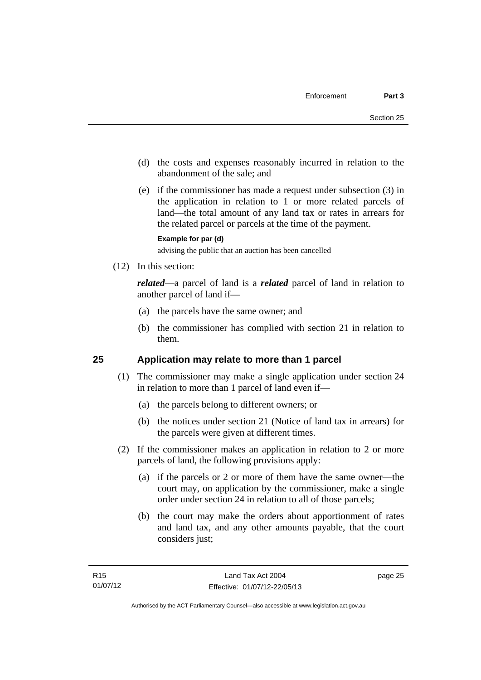- (d) the costs and expenses reasonably incurred in relation to the abandonment of the sale; and
- (e) if the commissioner has made a request under subsection (3) in the application in relation to 1 or more related parcels of land—the total amount of any land tax or rates in arrears for the related parcel or parcels at the time of the payment.

#### **Example for par (d)**

advising the public that an auction has been cancelled

(12) In this section:

*related*—a parcel of land is a *related* parcel of land in relation to another parcel of land if—

- (a) the parcels have the same owner; and
- (b) the commissioner has complied with section 21 in relation to them.

### <span id="page-30-0"></span>**25 Application may relate to more than 1 parcel**

- (1) The commissioner may make a single application under section 24 in relation to more than 1 parcel of land even if—
	- (a) the parcels belong to different owners; or
	- (b) the notices under section 21 (Notice of land tax in arrears) for the parcels were given at different times.
- (2) If the commissioner makes an application in relation to 2 or more parcels of land, the following provisions apply:
	- (a) if the parcels or 2 or more of them have the same owner—the court may, on application by the commissioner, make a single order under section 24 in relation to all of those parcels;
	- (b) the court may make the orders about apportionment of rates and land tax, and any other amounts payable, that the court considers just;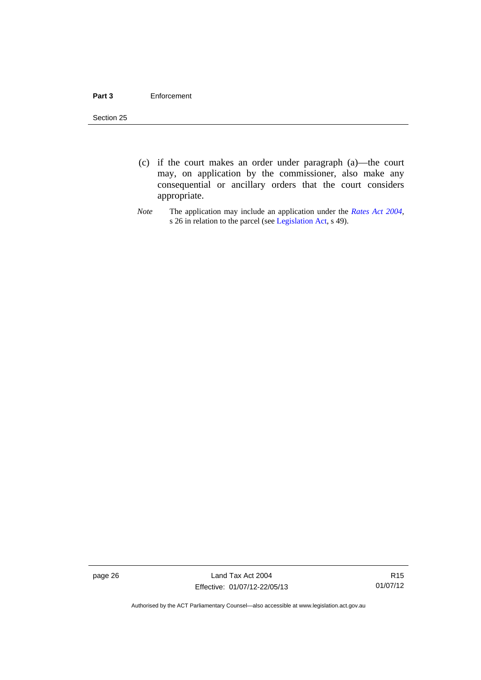#### **Part 3** Enforcement

Section 25

- (c) if the court makes an order under paragraph (a)—the court may, on application by the commissioner, also make any consequential or ancillary orders that the court considers appropriate.
- *Note* The application may include an application under the *[Rates Act 2004](http://www.legislation.act.gov.au/a/2004-3)*, s 26 in relation to the parcel (see [Legislation Act,](http://www.legislation.act.gov.au/a/2001-14) s 49).

page 26 Land Tax Act 2004 Effective: 01/07/12-22/05/13

R15 01/07/12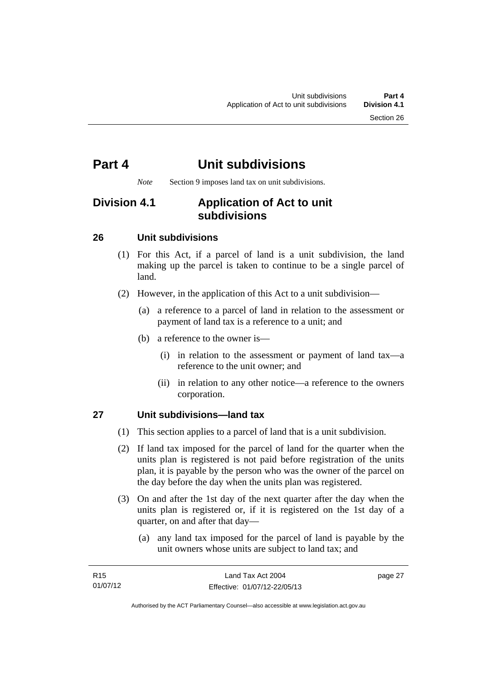# <span id="page-32-0"></span>**Part 4 Unit subdivisions**

*Note* Section 9 imposes land tax on unit subdivisions.

## <span id="page-32-1"></span>**Division 4.1 Application of Act to unit subdivisions**

### <span id="page-32-2"></span>**26 Unit subdivisions**

- (1) For this Act, if a parcel of land is a unit subdivision, the land making up the parcel is taken to continue to be a single parcel of land.
- (2) However, in the application of this Act to a unit subdivision—
	- (a) a reference to a parcel of land in relation to the assessment or payment of land tax is a reference to a unit; and
	- (b) a reference to the owner is—
		- (i) in relation to the assessment or payment of land tax—a reference to the unit owner; and
		- (ii) in relation to any other notice—a reference to the owners corporation.

### <span id="page-32-3"></span>**27 Unit subdivisions—land tax**

- (1) This section applies to a parcel of land that is a unit subdivision.
- (2) If land tax imposed for the parcel of land for the quarter when the units plan is registered is not paid before registration of the units plan, it is payable by the person who was the owner of the parcel on the day before the day when the units plan was registered.
- (3) On and after the 1st day of the next quarter after the day when the units plan is registered or, if it is registered on the 1st day of a quarter, on and after that day—
	- (a) any land tax imposed for the parcel of land is payable by the unit owners whose units are subject to land tax; and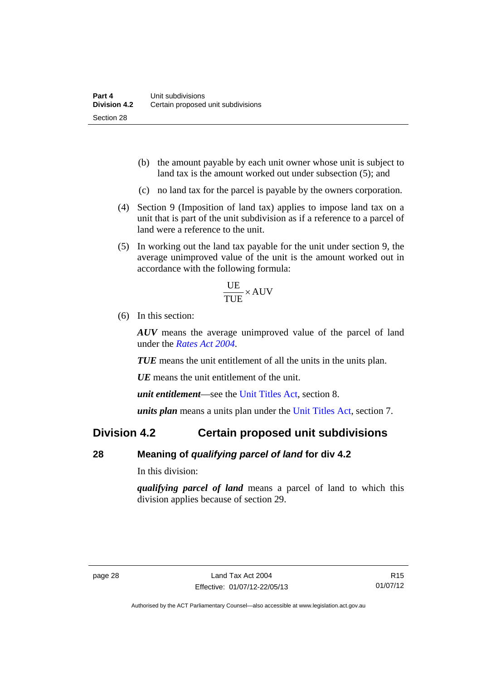- (b) the amount payable by each unit owner whose unit is subject to land tax is the amount worked out under subsection (5); and
- (c) no land tax for the parcel is payable by the owners corporation.
- (4) Section 9 (Imposition of land tax) applies to impose land tax on a unit that is part of the unit subdivision as if a reference to a parcel of land were a reference to the unit.
- (5) In working out the land tax payable for the unit under section 9, the average unimproved value of the unit is the amount worked out in accordance with the following formula:

$$
\frac{\text{UE}}{\text{TUE}} \times \text{AUV}
$$

(6) In this section:

*AUV* means the average unimproved value of the parcel of land under the *[Rates Act 2004](http://www.legislation.act.gov.au/a/2004-3)*.

*TUE* means the unit entitlement of all the units in the units plan.

*UE* means the unit entitlement of the unit.

*unit entitlement*—see the [Unit Titles Act](http://www.legislation.act.gov.au/a/2001-16/default.asp), section 8.

*units plan* means a units plan under the [Unit Titles Act,](http://www.legislation.act.gov.au/a/2001-16/default.asp) section 7.

### <span id="page-33-0"></span>**Division 4.2 Certain proposed unit subdivisions**

### <span id="page-33-1"></span>**28 Meaning of** *qualifying parcel of land* **for div 4.2**

In this division:

*qualifying parcel of land* means a parcel of land to which this division applies because of section 29.

Authorised by the ACT Parliamentary Counsel—also accessible at www.legislation.act.gov.au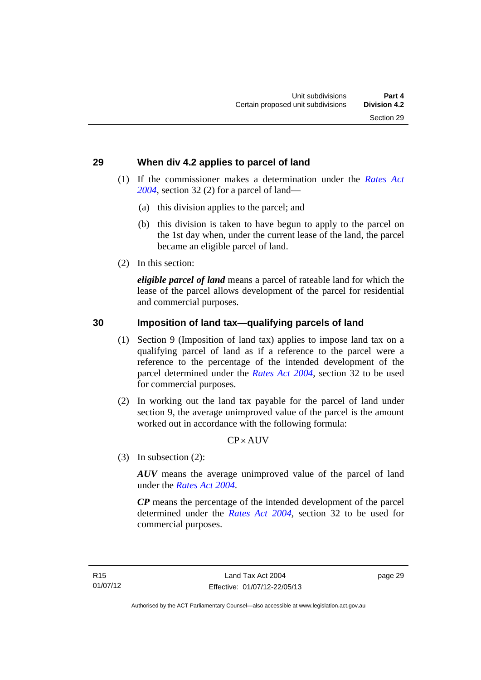### <span id="page-34-0"></span>**29 When div 4.2 applies to parcel of land**

- (1) If the commissioner makes a determination under the *[Rates Act](http://www.legislation.act.gov.au/a/2004-3)  [2004](http://www.legislation.act.gov.au/a/2004-3)*, section 32 (2) for a parcel of land—
	- (a) this division applies to the parcel; and
	- (b) this division is taken to have begun to apply to the parcel on the 1st day when, under the current lease of the land, the parcel became an eligible parcel of land.
- (2) In this section:

*eligible parcel of land* means a parcel of rateable land for which the lease of the parcel allows development of the parcel for residential and commercial purposes.

### <span id="page-34-1"></span>**30 Imposition of land tax—qualifying parcels of land**

- (1) Section 9 (Imposition of land tax) applies to impose land tax on a qualifying parcel of land as if a reference to the parcel were a reference to the percentage of the intended development of the parcel determined under the *[Rates Act 2004](http://www.legislation.act.gov.au/a/2004-3)*, section 32 to be used for commercial purposes.
- (2) In working out the land tax payable for the parcel of land under section 9, the average unimproved value of the parcel is the amount worked out in accordance with the following formula:

### $CP \times AUV$

(3) In subsection (2):

*AUV* means the average unimproved value of the parcel of land under the *[Rates Act 2004](http://www.legislation.act.gov.au/a/2004-3)*.

*CP* means the percentage of the intended development of the parcel determined under the *[Rates Act 2004](http://www.legislation.act.gov.au/a/2004-3)*, section 32 to be used for commercial purposes.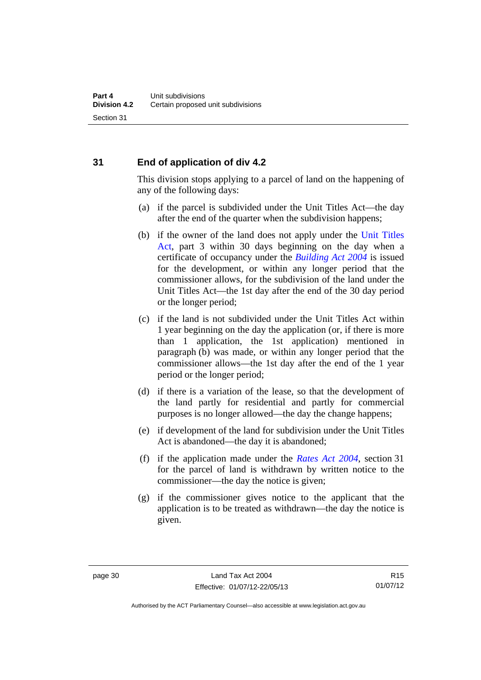### <span id="page-35-0"></span>**31 End of application of div 4.2**

This division stops applying to a parcel of land on the happening of any of the following days:

- (a) if the parcel is subdivided under the Unit Titles Act—the day after the end of the quarter when the subdivision happens;
- (b) if the owner of the land does not apply under the [Unit Titles](http://www.legislation.act.gov.au/a/2001-16/default.asp)  [Act](http://www.legislation.act.gov.au/a/2001-16/default.asp), part 3 within 30 days beginning on the day when a certificate of occupancy under the *[Building Act 2004](http://www.legislation.act.gov.au/a/2004-11)* is issued for the development, or within any longer period that the commissioner allows, for the subdivision of the land under the Unit Titles Act—the 1st day after the end of the 30 day period or the longer period;
- (c) if the land is not subdivided under the Unit Titles Act within 1 year beginning on the day the application (or, if there is more than 1 application, the 1st application) mentioned in paragraph (b) was made, or within any longer period that the commissioner allows—the 1st day after the end of the 1 year period or the longer period;
- (d) if there is a variation of the lease, so that the development of the land partly for residential and partly for commercial purposes is no longer allowed—the day the change happens;
- (e) if development of the land for subdivision under the Unit Titles Act is abandoned—the day it is abandoned;
- (f) if the application made under the *[Rates Act 2004](http://www.legislation.act.gov.au/a/2004-3)*, section 31 for the parcel of land is withdrawn by written notice to the commissioner—the day the notice is given;
- (g) if the commissioner gives notice to the applicant that the application is to be treated as withdrawn—the day the notice is given.

Authorised by the ACT Parliamentary Counsel—also accessible at www.legislation.act.gov.au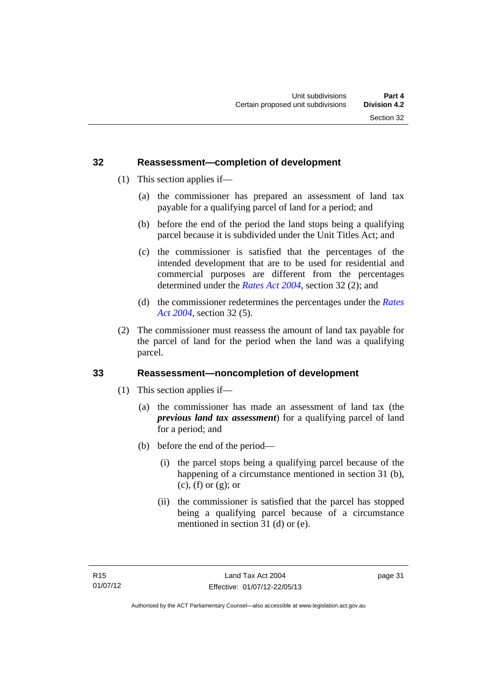Section 32

### <span id="page-36-0"></span>**32 Reassessment—completion of development**

- (1) This section applies if—
	- (a) the commissioner has prepared an assessment of land tax payable for a qualifying parcel of land for a period; and
	- (b) before the end of the period the land stops being a qualifying parcel because it is subdivided under the Unit Titles Act; and
	- (c) the commissioner is satisfied that the percentages of the intended development that are to be used for residential and commercial purposes are different from the percentages determined under the *[Rates Act 2004](http://www.legislation.act.gov.au/a/2004-3)*, section 32 (2); and
	- (d) the commissioner redetermines the percentages under the *[Rates](http://www.legislation.act.gov.au/a/2004-3)  [Act 2004](http://www.legislation.act.gov.au/a/2004-3)*, section 32 (5).
- (2) The commissioner must reassess the amount of land tax payable for the parcel of land for the period when the land was a qualifying parcel.

#### <span id="page-36-1"></span>**33 Reassessment—noncompletion of development**

- (1) This section applies if—
	- (a) the commissioner has made an assessment of land tax (the *previous land tax assessment*) for a qualifying parcel of land for a period; and
	- (b) before the end of the period—
		- (i) the parcel stops being a qualifying parcel because of the happening of a circumstance mentioned in section 31 (b),  $(c)$ ,  $(f)$  or  $(g)$ ; or
		- (ii) the commissioner is satisfied that the parcel has stopped being a qualifying parcel because of a circumstance mentioned in section 31 (d) or (e).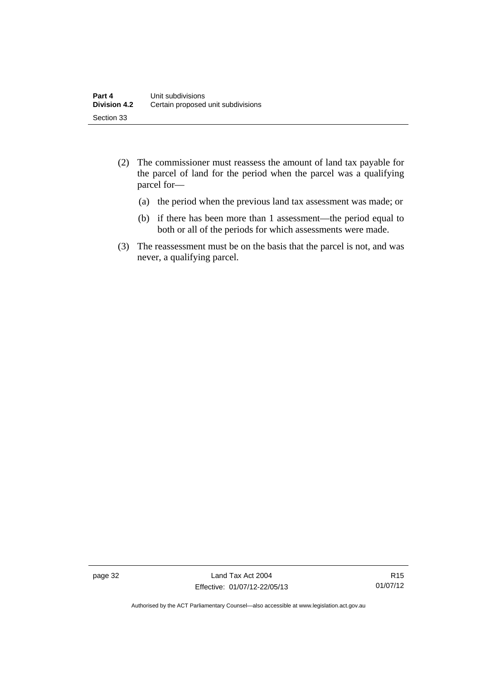- (2) The commissioner must reassess the amount of land tax payable for the parcel of land for the period when the parcel was a qualifying parcel for—
	- (a) the period when the previous land tax assessment was made; or
	- (b) if there has been more than 1 assessment—the period equal to both or all of the periods for which assessments were made.
- (3) The reassessment must be on the basis that the parcel is not, and was never, a qualifying parcel.

page 32 Land Tax Act 2004 Effective: 01/07/12-22/05/13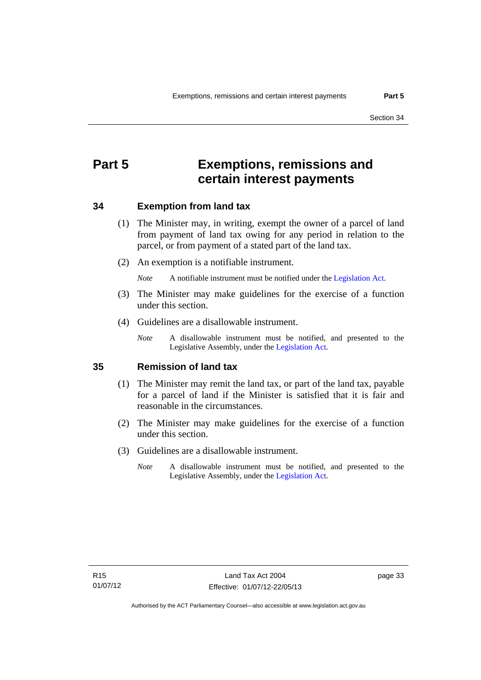## <span id="page-38-0"></span>**Part 5 Exemptions, remissions and certain interest payments**

#### <span id="page-38-1"></span>**34 Exemption from land tax**

- (1) The Minister may, in writing, exempt the owner of a parcel of land from payment of land tax owing for any period in relation to the parcel, or from payment of a stated part of the land tax.
- (2) An exemption is a notifiable instrument.

*Note* A notifiable instrument must be notified under the [Legislation Act](http://www.legislation.act.gov.au/a/2001-14).

- (3) The Minister may make guidelines for the exercise of a function under this section.
- (4) Guidelines are a disallowable instrument.
	- *Note* A disallowable instrument must be notified, and presented to the Legislative Assembly, under the [Legislation Act.](http://www.legislation.act.gov.au/a/2001-14)

#### <span id="page-38-2"></span>**35 Remission of land tax**

- (1) The Minister may remit the land tax, or part of the land tax, payable for a parcel of land if the Minister is satisfied that it is fair and reasonable in the circumstances.
- (2) The Minister may make guidelines for the exercise of a function under this section.
- (3) Guidelines are a disallowable instrument.
	- *Note* A disallowable instrument must be notified, and presented to the Legislative Assembly, under the [Legislation Act.](http://www.legislation.act.gov.au/a/2001-14)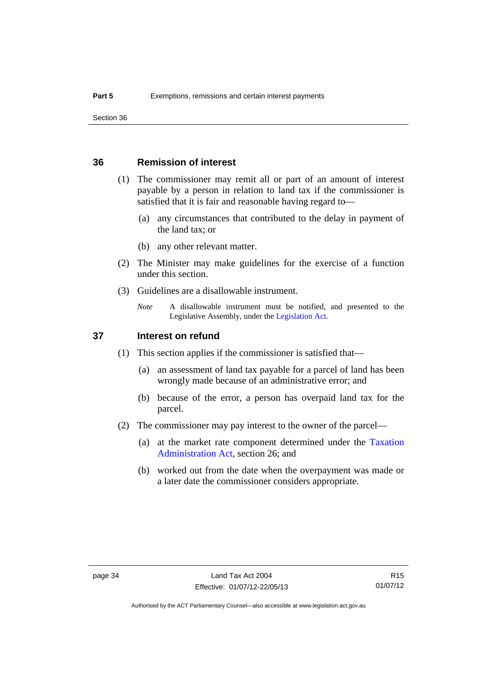Section 36

### <span id="page-39-0"></span>**36 Remission of interest**

- (1) The commissioner may remit all or part of an amount of interest payable by a person in relation to land tax if the commissioner is satisfied that it is fair and reasonable having regard to—
	- (a) any circumstances that contributed to the delay in payment of the land tax; or
	- (b) any other relevant matter.
- (2) The Minister may make guidelines for the exercise of a function under this section.
- (3) Guidelines are a disallowable instrument.
	- *Note* A disallowable instrument must be notified, and presented to the Legislative Assembly, under the [Legislation Act.](http://www.legislation.act.gov.au/a/2001-14)

#### <span id="page-39-1"></span>**37 Interest on refund**

- (1) This section applies if the commissioner is satisfied that—
	- (a) an assessment of land tax payable for a parcel of land has been wrongly made because of an administrative error; and
	- (b) because of the error, a person has overpaid land tax for the parcel.
- (2) The commissioner may pay interest to the owner of the parcel—
	- (a) at the market rate component determined under the [Taxation](http://www.legislation.act.gov.au/a/1999-4/default.asp)  [Administration Act](http://www.legislation.act.gov.au/a/1999-4/default.asp), section 26; and
	- (b) worked out from the date when the overpayment was made or a later date the commissioner considers appropriate.

R15 01/07/12

Authorised by the ACT Parliamentary Counsel—also accessible at www.legislation.act.gov.au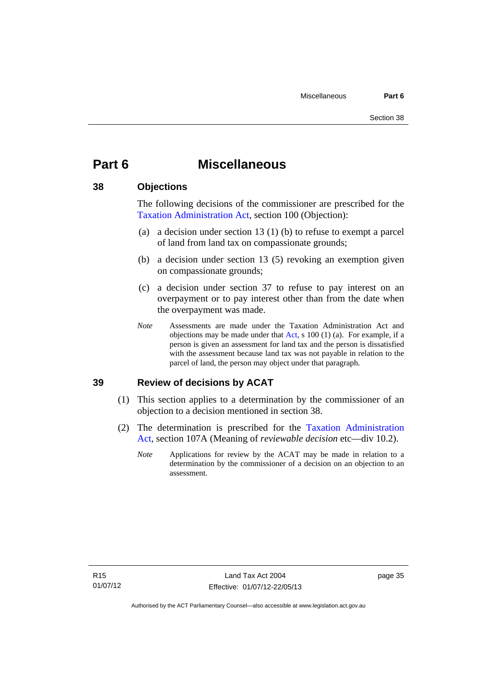# <span id="page-40-0"></span>**Part 6 Miscellaneous**

#### <span id="page-40-1"></span>**38 Objections**

The following decisions of the commissioner are prescribed for the [Taxation Administration Act,](http://www.legislation.act.gov.au/a/1999-4/default.asp) section 100 (Objection):

- (a) a decision under section 13 (1) (b) to refuse to exempt a parcel of land from land tax on compassionate grounds;
- (b) a decision under section 13 (5) revoking an exemption given on compassionate grounds;
- (c) a decision under section 37 to refuse to pay interest on an overpayment or to pay interest other than from the date when the overpayment was made.
- *Note* Assessments are made under the Taxation Administration Act and objections may be made under that [Act](http://www.legislation.act.gov.au/a/1999-4/default.asp), s 100 (1) (a). For example, if a person is given an assessment for land tax and the person is dissatisfied with the assessment because land tax was not payable in relation to the parcel of land, the person may object under that paragraph.

### <span id="page-40-2"></span>**39 Review of decisions by ACAT**

- (1) This section applies to a determination by the commissioner of an objection to a decision mentioned in section 38.
- (2) The determination is prescribed for the [Taxation Administration](http://www.legislation.act.gov.au/a/1999-4/default.asp)  [Act](http://www.legislation.act.gov.au/a/1999-4/default.asp), section 107A (Meaning of *reviewable decision* etc—div 10.2).
	- *Note* Applications for review by the ACAT may be made in relation to a determination by the commissioner of a decision on an objection to an assessment.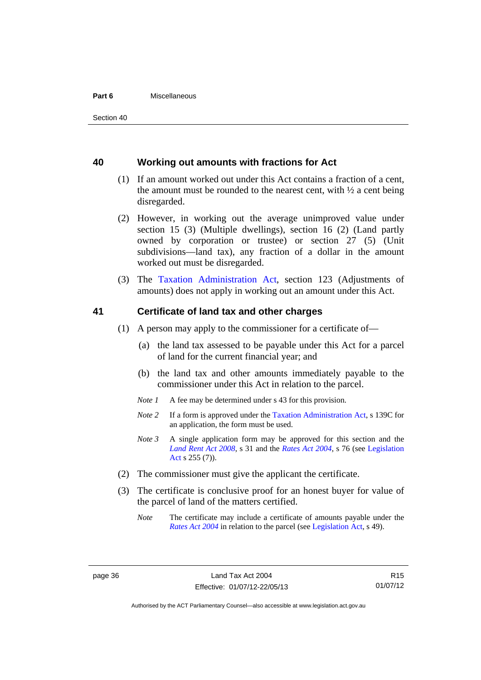#### **Part 6** Miscellaneous

#### <span id="page-41-0"></span>**40 Working out amounts with fractions for Act**

- (1) If an amount worked out under this Act contains a fraction of a cent, the amount must be rounded to the nearest cent, with  $\frac{1}{2}$  a cent being disregarded.
- (2) However, in working out the average unimproved value under section 15 (3) (Multiple dwellings), section 16 (2) (Land partly owned by corporation or trustee) or section 27 (5) (Unit subdivisions—land tax), any fraction of a dollar in the amount worked out must be disregarded.
- (3) The [Taxation Administration Act,](http://www.legislation.act.gov.au/a/1999-4/default.asp) section 123 (Adjustments of amounts) does not apply in working out an amount under this Act.

#### <span id="page-41-1"></span>**41 Certificate of land tax and other charges**

- (1) A person may apply to the commissioner for a certificate of—
	- (a) the land tax assessed to be payable under this Act for a parcel of land for the current financial year; and
	- (b) the land tax and other amounts immediately payable to the commissioner under this Act in relation to the parcel.
	- *Note 1* A fee may be determined under s 43 for this provision.
	- *Note 2* If a form is approved under the [Taxation Administration Act](http://www.legislation.act.gov.au/a/1999-4/default.asp), s 139C for an application, the form must be used.
	- *Note 3* A single application form may be approved for this section and the *[Land Rent Act 2008](http://www.legislation.act.gov.au/a/2008-16)*, s 31 and the *[Rates Act 2004](http://www.legislation.act.gov.au/a/2004-3)*, s 76 (see [Legislation](http://www.legislation.act.gov.au/a/2001-14)  [Act](http://www.legislation.act.gov.au/a/2001-14) s 255 (7)).
- (2) The commissioner must give the applicant the certificate.
- (3) The certificate is conclusive proof for an honest buyer for value of the parcel of land of the matters certified.
	- *Note* The certificate may include a certificate of amounts payable under the *[Rates Act 2004](http://www.legislation.act.gov.au/a/2004-3)* in relation to the parcel (see [Legislation Act,](http://www.legislation.act.gov.au/a/2001-14) s 49).

R15 01/07/12

Authorised by the ACT Parliamentary Counsel—also accessible at www.legislation.act.gov.au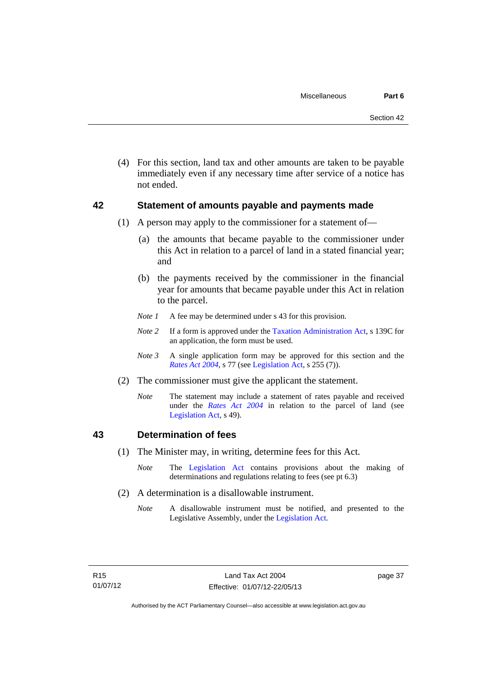(4) For this section, land tax and other amounts are taken to be payable immediately even if any necessary time after service of a notice has not ended.

### <span id="page-42-0"></span>**42 Statement of amounts payable and payments made**

- (1) A person may apply to the commissioner for a statement of—
	- (a) the amounts that became payable to the commissioner under this Act in relation to a parcel of land in a stated financial year; and
	- (b) the payments received by the commissioner in the financial year for amounts that became payable under this Act in relation to the parcel.
	- *Note 1* A fee may be determined under s 43 for this provision.
	- *Note 2* If a form is approved under the [Taxation Administration Act](http://www.legislation.act.gov.au/a/1999-4/default.asp), s 139C for an application, the form must be used.
	- *Note 3* A single application form may be approved for this section and the *[Rates Act 2004](http://www.legislation.act.gov.au/a/2004-3)*, s 77 (see [Legislation Act,](http://www.legislation.act.gov.au/a/2001-14) s 255 (7)).
- (2) The commissioner must give the applicant the statement.
	- *Note* The statement may include a statement of rates payable and received under the *[Rates Act 2004](http://www.legislation.act.gov.au/a/2004-3)* in relation to the parcel of land (see [Legislation Act,](http://www.legislation.act.gov.au/a/2001-14) s 49).

### <span id="page-42-1"></span>**43 Determination of fees**

- (1) The Minister may, in writing, determine fees for this Act.
	- *Note* The [Legislation Act](http://www.legislation.act.gov.au/a/2001-14) contains provisions about the making of determinations and regulations relating to fees (see pt 6.3)
- (2) A determination is a disallowable instrument.
	- *Note* A disallowable instrument must be notified, and presented to the Legislative Assembly, under the [Legislation Act.](http://www.legislation.act.gov.au/a/2001-14)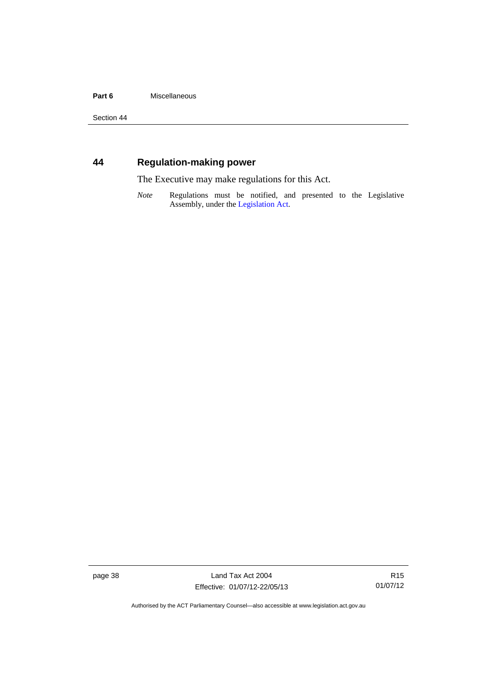#### Part 6 **Miscellaneous**

Section 44

### <span id="page-43-0"></span>**44 Regulation-making power**

The Executive may make regulations for this Act.

*Note* Regulations must be notified, and presented to the Legislative Assembly, under the [Legislation Act](http://www.legislation.act.gov.au/a/2001-14).

page 38 Land Tax Act 2004 Effective: 01/07/12-22/05/13

R15 01/07/12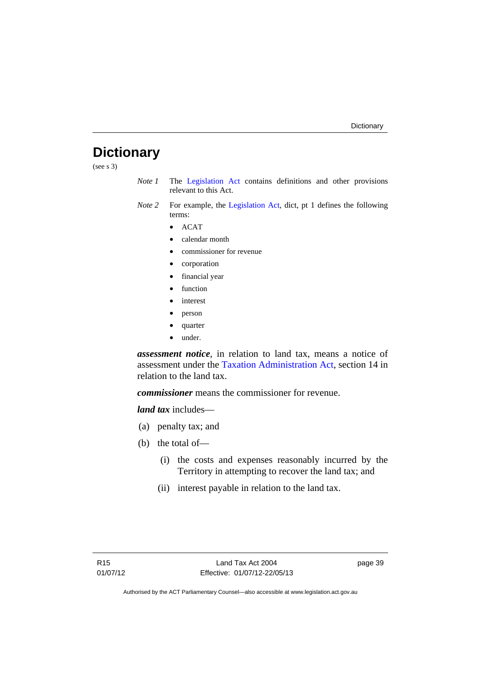# <span id="page-44-0"></span>**Dictionary**

(see s 3)

- *Note 1* The [Legislation Act](http://www.legislation.act.gov.au/a/2001-14) contains definitions and other provisions relevant to this Act.
- *Note 2* For example, the [Legislation Act](http://www.legislation.act.gov.au/a/2001-14), dict, pt 1 defines the following terms:
	- $\bullet$  ACAT
	- calendar month
	- commissioner for revenue
	- corporation
	- financial year
	- function
	- interest
	- person
	- quarter
	- under.

*assessment notice*, in relation to land tax, means a notice of assessment under the [Taxation Administration Act](http://www.legislation.act.gov.au/a/1999-4/default.asp), section 14 in relation to the land tax.

*commissioner* means the commissioner for revenue.

*land tax* includes—

- (a) penalty tax; and
- (b) the total of—
	- (i) the costs and expenses reasonably incurred by the Territory in attempting to recover the land tax; and
	- (ii) interest payable in relation to the land tax.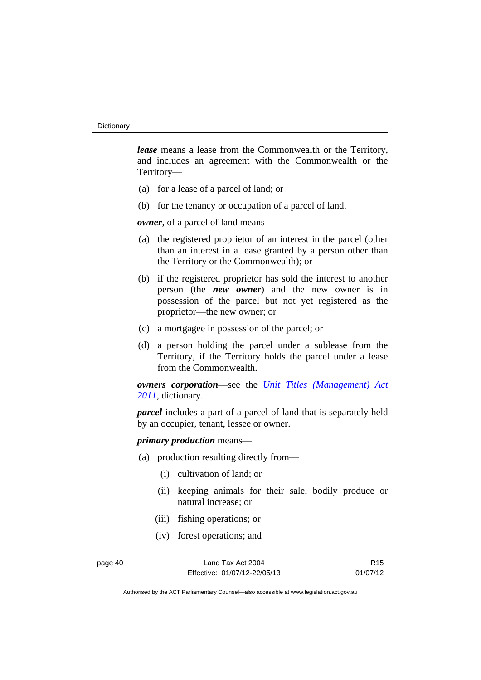*lease* means a lease from the Commonwealth or the Territory, and includes an agreement with the Commonwealth or the Territory—

- (a) for a lease of a parcel of land; or
- (b) for the tenancy or occupation of a parcel of land.

*owner*, of a parcel of land means—

- (a) the registered proprietor of an interest in the parcel (other than an interest in a lease granted by a person other than the Territory or the Commonwealth); or
- (b) if the registered proprietor has sold the interest to another person (the *new owner*) and the new owner is in possession of the parcel but not yet registered as the proprietor—the new owner; or
- (c) a mortgagee in possession of the parcel; or
- (d) a person holding the parcel under a sublease from the Territory, if the Territory holds the parcel under a lease from the Commonwealth.

*owners corporation*—see the *[Unit Titles \(Management\) Act](http://www.legislation.act.gov.au/a/2011-41)  [2011](http://www.legislation.act.gov.au/a/2011-41)*, dictionary.

*parcel* includes a part of a parcel of land that is separately held by an occupier, tenant, lessee or owner.

*primary production* means—

- (a) production resulting directly from—
	- (i) cultivation of land; or
	- (ii) keeping animals for their sale, bodily produce or natural increase; or
	- (iii) fishing operations; or
	- (iv) forest operations; and

page 40 Land Tax Act 2004 Effective: 01/07/12-22/05/13

R15 01/07/12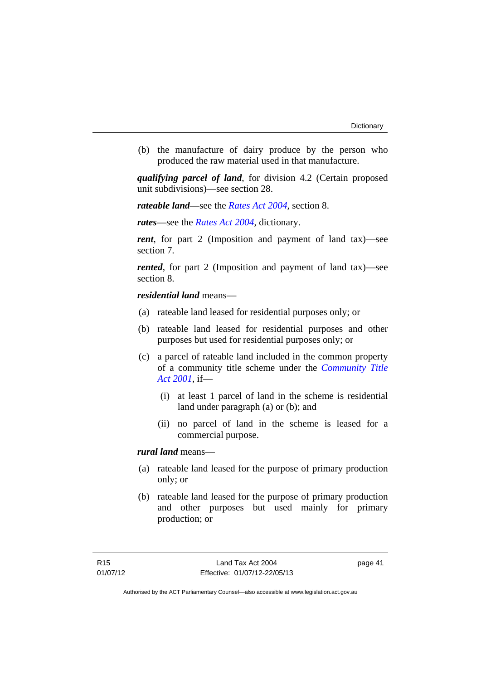(b) the manufacture of dairy produce by the person who produced the raw material used in that manufacture.

*qualifying parcel of land*, for division 4.2 (Certain proposed unit subdivisions)—see section 28.

*rateable land*—see the *[Rates Act 2004](http://www.legislation.act.gov.au/a/2004-3)*, section 8.

*rates*—see the *[Rates Act 2004](http://www.legislation.act.gov.au/a/2004-3)*, dictionary.

*rent*, for part 2 (Imposition and payment of land tax)—see section 7.

*rented*, for part 2 (Imposition and payment of land tax)—see section 8.

#### *residential land* means—

- (a) rateable land leased for residential purposes only; or
- (b) rateable land leased for residential purposes and other purposes but used for residential purposes only; or
- (c) a parcel of rateable land included in the common property of a community title scheme under the *[Community Title](http://www.legislation.act.gov.au/a/2001-58)  [Act 2001](http://www.legislation.act.gov.au/a/2001-58)*, if—
	- (i) at least 1 parcel of land in the scheme is residential land under paragraph (a) or (b); and
	- (ii) no parcel of land in the scheme is leased for a commercial purpose.

#### *rural land* means—

- (a) rateable land leased for the purpose of primary production only; or
- (b) rateable land leased for the purpose of primary production and other purposes but used mainly for primary production; or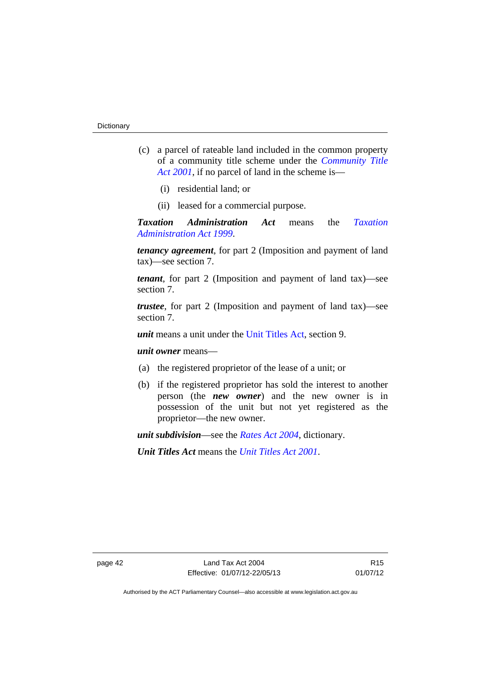- (c) a parcel of rateable land included in the common property of a community title scheme under the *[Community Title](http://www.legislation.act.gov.au/a/2001-58)  [Act 2001](http://www.legislation.act.gov.au/a/2001-58)*, if no parcel of land in the scheme is—
	- (i) residential land; or
	- (ii) leased for a commercial purpose.

*Taxation Administration Act* means the *[Taxation](http://www.legislation.act.gov.au/a/1999-4)  [Administration Act 1999](http://www.legislation.act.gov.au/a/1999-4)*.

*tenancy agreement*, for part 2 (Imposition and payment of land tax)—see section 7.

*tenant*, for part 2 (Imposition and payment of land tax)—see section 7.

*trustee*, for part 2 (Imposition and payment of land tax)—see section 7.

*unit* means a unit under the [Unit Titles Act,](http://www.legislation.act.gov.au/a/2001-16/default.asp) section 9.

*unit owner* means—

- (a) the registered proprietor of the lease of a unit; or
- (b) if the registered proprietor has sold the interest to another person (the *new owner*) and the new owner is in possession of the unit but not yet registered as the proprietor—the new owner.

*unit subdivision*—see the *[Rates Act 2004](http://www.legislation.act.gov.au/a/2004-3)*, dictionary.

*Unit Titles Act* means the *[Unit Titles Act 2001](http://www.legislation.act.gov.au/a/2001-16)*.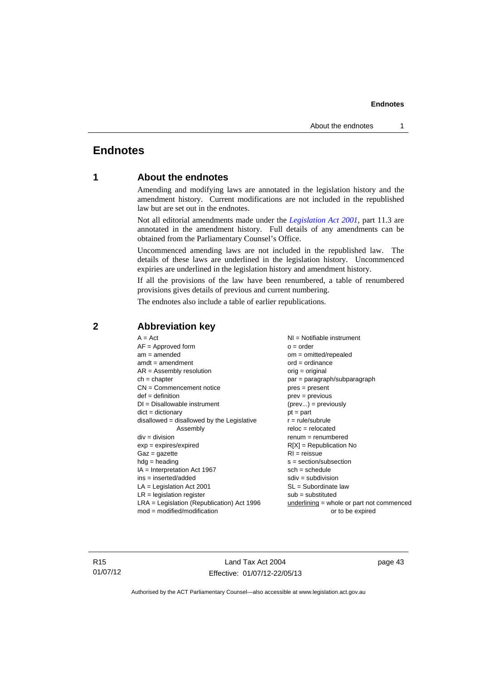### <span id="page-48-0"></span>**Endnotes**

### **1 About the endnotes**

Amending and modifying laws are annotated in the legislation history and the amendment history. Current modifications are not included in the republished law but are set out in the endnotes.

Not all editorial amendments made under the *[Legislation Act 2001](http://www.legislation.act.gov.au/a/2001-14)*, part 11.3 are annotated in the amendment history. Full details of any amendments can be obtained from the Parliamentary Counsel's Office.

Uncommenced amending laws are not included in the republished law. The details of these laws are underlined in the legislation history. Uncommenced expiries are underlined in the legislation history and amendment history.

If all the provisions of the law have been renumbered, a table of renumbered provisions gives details of previous and current numbering.

The endnotes also include a table of earlier republications.

| $A = Act$                                    | NI = Notifiable instrument                |
|----------------------------------------------|-------------------------------------------|
| $AF =$ Approved form                         | $o = order$                               |
| $am = amended$                               | $om = omitted/repealed$                   |
| $amdt = amendment$                           | $ord = ordinance$                         |
| $AR = Assembly resolution$                   | $orig = original$                         |
| $ch = chapter$                               | par = paragraph/subparagraph              |
| $CN =$ Commencement notice                   | $pres = present$                          |
| $def = definition$                           | $prev = previous$                         |
| $DI = Disallowable instrument$               | $(\text{prev}) = \text{previously}$       |
| $dict = dictionary$                          | $pt = part$                               |
| $disallowed = disallowed by the Legislative$ | $r = rule/subrule$                        |
| Assembly                                     | $reloc = relocated$                       |
| $div = division$                             | $renum = renumbered$                      |
| $exp = expires/expired$                      | $R[X]$ = Republication No                 |
| $Gaz = gazette$                              | $RI = reissue$                            |
| $hdg =$ heading                              | s = section/subsection                    |
| $IA = Interpretation Act 1967$               | $sch = schedule$                          |
| $ins = inserted/added$                       | $sdiv = subdivision$                      |
| $LA =$ Legislation Act 2001                  | $SL = Subordinate$ law                    |
| $LR =$ legislation register                  | $sub =$ substituted                       |
| $LRA =$ Legislation (Republication) Act 1996 | underlining = whole or part not commenced |
| $mod = modified/modification$                | or to be expired                          |
|                                              |                                           |

### <span id="page-48-2"></span>**2 Abbreviation key**

R15 01/07/12

Land Tax Act 2004 Effective: 01/07/12-22/05/13 page 43

<span id="page-48-1"></span>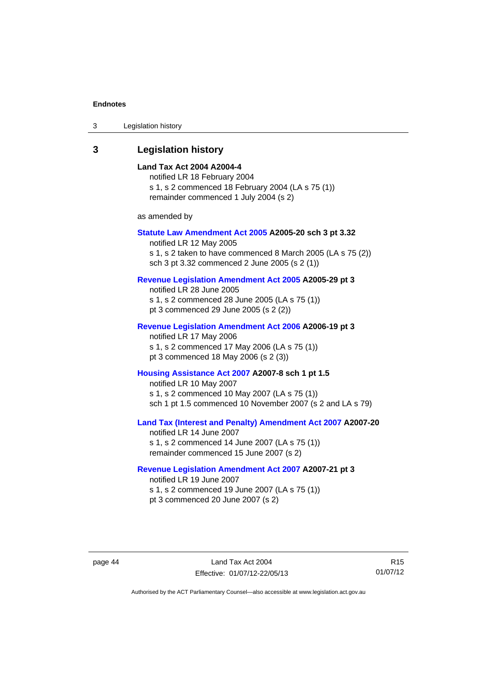| 3 | Legislation history |  |
|---|---------------------|--|
|---|---------------------|--|

#### <span id="page-49-0"></span>**3 Legislation history**

#### **Land Tax Act 2004 A2004-4**

notified LR 18 February 2004 s 1, s 2 commenced 18 February 2004 (LA s 75 (1)) remainder commenced 1 July 2004 (s 2)

as amended by

#### **[Statute Law Amendment Act 2005](http://www.legislation.act.gov.au/a/2005-20) A2005-20 sch 3 pt 3.32**

notified LR 12 May 2005 s 1, s 2 taken to have commenced 8 March 2005 (LA s 75 (2)) sch 3 pt 3.32 commenced 2 June 2005 (s 2 (1))

#### **[Revenue Legislation Amendment Act 2005](http://www.legislation.act.gov.au/a/2005-29) A2005-29 pt 3**

notified LR 28 June 2005 s 1, s 2 commenced 28 June 2005 (LA s 75 (1)) pt 3 commenced 29 June 2005 (s 2 (2))

#### **[Revenue Legislation Amendment Act 2006](http://www.legislation.act.gov.au/a/2006-19) A2006-19 pt 3**

notified LR 17 May 2006 s 1, s 2 commenced 17 May 2006 (LA s 75 (1)) pt 3 commenced 18 May 2006 (s 2 (3))

#### **[Housing Assistance Act 2007](http://www.legislation.act.gov.au/a/2007-8) A2007-8 sch 1 pt 1.5**

notified LR 10 May 2007 s 1, s 2 commenced 10 May 2007 (LA s 75 (1)) sch 1 pt 1.5 commenced 10 November 2007 (s 2 and LA s 79)

### **[Land Tax \(Interest and Penalty\) Amendment Act 2007](http://www.legislation.act.gov.au/a/2007-20) A2007-20**

notified LR 14 June 2007 s 1, s 2 commenced 14 June 2007 (LA s 75 (1)) remainder commenced 15 June 2007 (s 2)

#### **[Revenue Legislation Amendment Act 2007](http://www.legislation.act.gov.au/a/2007-21) A2007-21 pt 3**

notified LR 19 June 2007 s 1, s 2 commenced 19 June 2007 (LA s 75 (1)) pt 3 commenced 20 June 2007 (s 2)

R15 01/07/12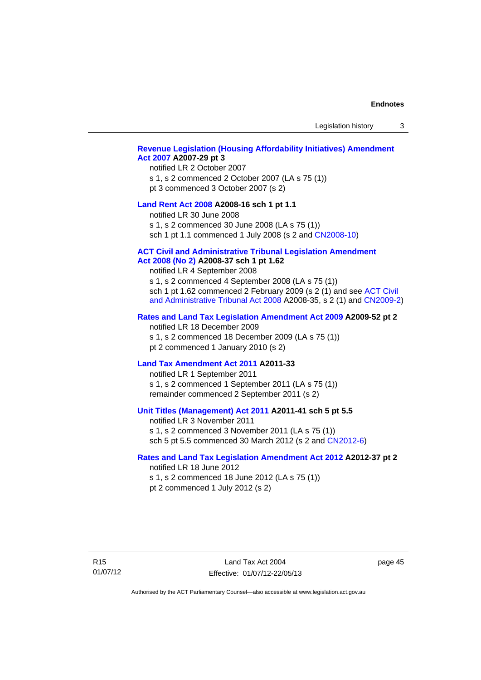Legislation history 3

#### **[Revenue Legislation \(Housing Affordability Initiatives\) Amendment](http://www.legislation.act.gov.au/a/2007-29)  [Act 2007](http://www.legislation.act.gov.au/a/2007-29) A2007-29 pt 3**

#### notified LR 2 October 2007

s 1, s 2 commenced 2 October 2007 (LA s 75 (1)) pt 3 commenced 3 October 2007 (s 2)

#### **[Land Rent Act 2008](http://www.legislation.act.gov.au/a/2008-16) A2008-16 sch 1 pt 1.1**

notified LR 30 June 2008

s 1, s 2 commenced 30 June 2008 (LA s 75 (1))

sch 1 pt 1.1 commenced 1 July 2008 (s 2 and [CN2008-10\)](http://www.legislation.act.gov.au/cn/2008-10/default.asp)

#### **[ACT Civil and Administrative Tribunal Legislation Amendment](http://www.legislation.act.gov.au/a/2008-37)**

#### **[Act 2008 \(No 2\)](http://www.legislation.act.gov.au/a/2008-37) A2008-37 sch 1 pt 1.62**

notified LR 4 September 2008

s 1, s 2 commenced 4 September 2008 (LA s 75 (1)) sch 1 pt 1.62 commenced 2 February 2009 (s 2 (1) and see [ACT Civil](http://www.legislation.act.gov.au/a/2008-35)  [and Administrative Tribunal Act 2008](http://www.legislation.act.gov.au/a/2008-35) A2008-35, s 2 (1) and [CN2009-2](http://www.legislation.act.gov.au/cn/2009-2/default.asp))

#### **[Rates and Land Tax Legislation Amendment Act 2009](http://www.legislation.act.gov.au/a/2009-52) A2009-52 pt 2**

notified LR 18 December 2009 s 1, s 2 commenced 18 December 2009 (LA s 75 (1)) pt 2 commenced 1 January 2010 (s 2)

#### **[Land Tax Amendment Act 2011](http://www.legislation.act.gov.au/a/2011-33) A2011-33**

notified LR 1 September 2011 s 1, s 2 commenced 1 September 2011 (LA s 75 (1)) remainder commenced 2 September 2011 (s 2)

#### **[Unit Titles \(Management\) Act 2011](http://www.legislation.act.gov.au/a/2011-41) A2011-41 sch 5 pt 5.5**

notified LR 3 November 2011 s 1, s 2 commenced 3 November 2011 (LA s 75 (1)) sch 5 pt 5.5 commenced 30 March 2012 (s 2 and [CN2012-6\)](http://www.legislation.act.gov.au/cn/2012-6/default.asp)

#### **[Rates and Land Tax Legislation Amendment Act 2012](http://www.legislation.act.gov.au/a/2012-37) A2012-37 pt 2**

notified LR 18 June 2012 s 1, s 2 commenced 18 June 2012 (LA s 75 (1)) pt 2 commenced 1 July 2012 (s 2)

R15 01/07/12

Land Tax Act 2004 Effective: 01/07/12-22/05/13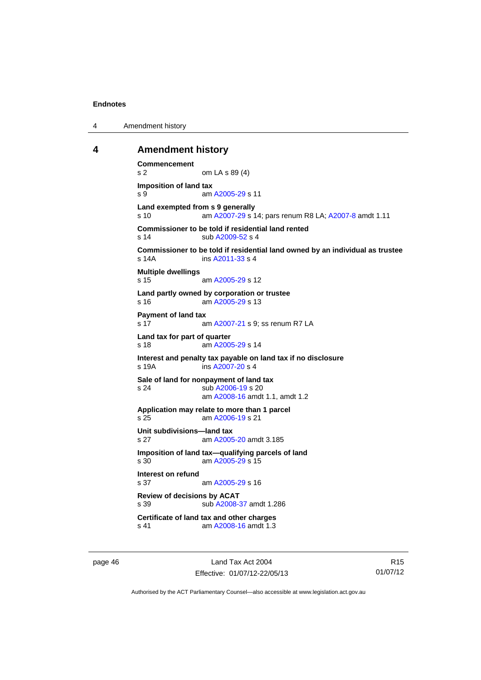4 Amendment history

#### <span id="page-51-0"></span>**4 Amendment history**

```
Commencement 
s 2 om LA s 89 (4) 
Imposition of land tax 
 A2005-29 s 11
Land exempted from s 9 generally 
s 10 am A2007-29 s 14; pars renum R8 LA; A2007-8 amdt 1.11 
Commissioner to be told if residential land rented 
 A2009-52 s 4
Commissioner to be told if residential land owned by an individual as trustee 
s 14A ins A2011-33 s 4
Multiple dwellings 
 A2005-29 s 12
Land partly owned by corporation or trustee 
s 16 am A2005-29 s 13 
Payment of land tax 
s 17  A2007-21 s 9: ss renum R7 LA
Land tax for part of quarter 
 A2005-29 s 14
Interest and penalty tax payable on land tax if no disclosure 
s 19A ins A2007-20 s 4
Sale of land for nonpayment of land tax 
s 24 sub A2006-19 s 20 
                am A2008-16 amdt 1.1, amdt 1.2 
Application may relate to more than 1 parcel 
s 25 am A2006-19 s 21 
Unit subdivisions—land tax 
s 27 am A2005-20 amdt 3.185
Imposition of land tax—qualifying parcels of land 
s 30 am A2005-29 s 15 
Interest on refund 
s 37 am A2005-29 s 16 
Review of decisions by ACAT 
s 39 sub A2008-37 amdt 1.286 
Certificate of land tax and other charges 
s 41 am A2008-16 amdt 1.3
```
page 46 Land Tax Act 2004 Effective: 01/07/12-22/05/13

R15 01/07/12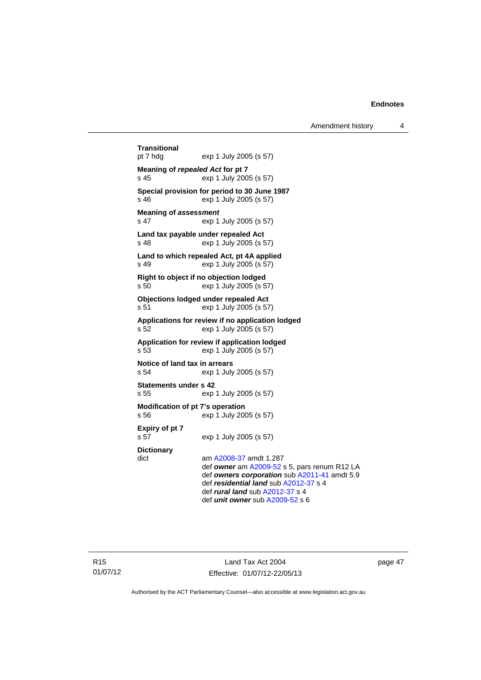Amendment history 4

```
Transitional 
                exp 1 July 2005 (s 57)
Meaning of repealed Act for pt 7 
s 45 exp 1 July 2005 (s 57) 
Special provision for period to 30 June 1987 
s 46 exp 1 July 2005 (s 57) 
Meaning of assessment
s 47 exp 1 July 2005 (s 57) 
Land tax payable under repealed Act 
s 48 exp 1 July 2005 (s 57) 
Land to which repealed Act, pt 4A applied 
s 49 exp 1 July 2005 (s 57) 
Right to object if no objection lodged 
s 50 exp 1 July 2005 (s 57) 
Objections lodged under repealed Act 
s 51 exp 1 July 2005 (s 57) 
Applications for review if no application lodged 
s 52 exp 1 July 2005 (s 57) 
Application for review if application lodged 
s 53 exp 1 July 2005 (s 57) 
Notice of land tax in arrears 
s 54 exp 1 July 2005 (s 57) 
Statements under s 42 
s 55 exp 1 July 2005 (s 57) 
Modification of pt 7's operation 
s 56 exp 1 July 2005 (s 57) 
Expiry of pt 7 
s 57 exp 1 July 2005 (s 57) 
Dictionary 
dict am A2008-37 amdt 1.287
                 def owner am A2009-52 s 5, pars renum R12 LA 
                 def owners corporation sub A2011-41 amdt 5.9 
                 def residential land sub A2012-37 s 4 
                 def rural land sub A2012-37 s 4 
                 def unit owner sub A2009-52 s 6
```
Land Tax Act 2004 Effective: 01/07/12-22/05/13 page 47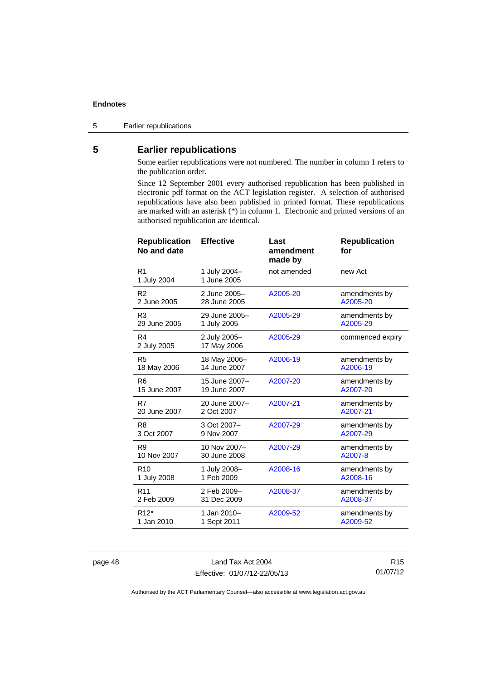<span id="page-53-0"></span>5 Earlier republications

### **5 Earlier republications**

Some earlier republications were not numbered. The number in column 1 refers to the publication order.

Since 12 September 2001 every authorised republication has been published in electronic pdf format on the ACT legislation register. A selection of authorised republications have also been published in printed format. These republications are marked with an asterisk (\*) in column 1. Electronic and printed versions of an authorised republication are identical.

| <b>Republication</b><br>No and date | <b>Effective</b>            | Last<br>amendment<br>made by | <b>Republication</b><br>for |
|-------------------------------------|-----------------------------|------------------------------|-----------------------------|
| R <sub>1</sub><br>1 July 2004       | 1 July 2004-<br>1 June 2005 | not amended                  | new Act                     |
| R <sub>2</sub>                      | 2 June 2005-                | A2005-20                     | amendments by               |
| 2 June 2005                         | 28 June 2005                |                              | A2005-20                    |
| R <sub>3</sub>                      | 29 June 2005-               | A2005-29                     | amendments by               |
| 29 June 2005                        | 1 July 2005                 |                              | A2005-29                    |
| R4<br>2 July 2005                   | 2 July 2005-<br>17 May 2006 | A2005-29                     | commenced expiry            |
| R <sub>5</sub>                      | 18 May 2006-                | A2006-19                     | amendments by               |
| 18 May 2006                         | 14 June 2007                |                              | A2006-19                    |
| R <sub>6</sub>                      | 15 June 2007-               | A2007-20                     | amendments by               |
| 15 June 2007                        | 19 June 2007                |                              | A2007-20                    |
| R7                                  | 20 June 2007-               | A2007-21                     | amendments by               |
| 20 June 2007                        | 2 Oct 2007                  |                              | A2007-21                    |
| R <sub>8</sub>                      | 3 Oct 2007-                 | A2007-29                     | amendments by               |
| 3 Oct 2007                          | 9 Nov 2007                  |                              | A2007-29                    |
| R <sub>9</sub>                      | 10 Nov 2007-                | A2007-29                     | amendments by               |
| 10 Nov 2007                         | 30 June 2008                |                              | A2007-8                     |
| R <sub>10</sub>                     | 1 July 2008-                | A2008-16                     | amendments by               |
| 1 July 2008                         | 1 Feb 2009                  |                              | A2008-16                    |
| R <sub>11</sub>                     | 2 Feb 2009-                 | A2008-37                     | amendments by               |
| 2 Feb 2009                          | 31 Dec 2009                 |                              | A2008-37                    |
| R <sub>12</sub> *                   | 1 Jan 2010-                 | A2009-52                     | amendments by               |
| 1 Jan 2010                          | 1 Sept 2011                 |                              | A2009-52                    |

page 48 Land Tax Act 2004 Effective: 01/07/12-22/05/13

R15 01/07/12